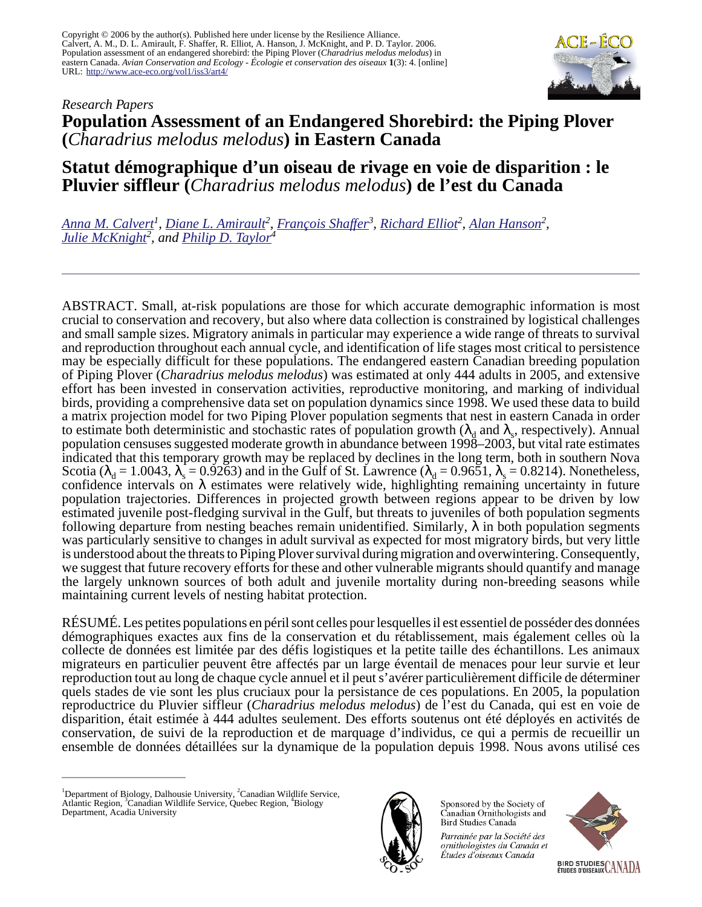Copyright © 2006 by the author(s). Published here under license by the Resilience Alliance. Calvert, A. M., D. L. Amirault, F. Shaffer, R. Elliot, A. Hanson, J. McKnight, and P. D. Taylor. 2006. Population assessment of an endangered shorebird: the Piping Plover (*Charadrius melodus melodus*) in eastern Canada. *Avian Conservation and Ecology - Écologie et conservation des oiseaux* **1**(3): 4. [online] URL: <http://www.ace-eco.org/vol1/iss3/art4/>



# *Research Papers* **Population Assessment of an Endangered Shorebird: the Piping Plover (***Charadrius melodus melodus***) in Eastern Canada**

# **Statut démographique d'un oiseau de rivage en voie de disparition : le Pluvier siffleur (***Charadrius melodus melodus***) de l'est du Canada**

*[Anna M. Calvert](mailto:anna.calvert@dal.ca)<sup>1</sup> , [Diane L. Amirault](mailto:diane.amirault@ec.gc.ca)<sup>2</sup> , [François Shaffer](mailto:francois.shaffer@ec.gc.ca)<sup>3</sup> , [Richard Elliot](mailto:richard.elliot@ec.gc.ca)<sup>2</sup> , [Alan Hanson](mailto:al.hanson@ec.gc.ca)<sup>2</sup> , [Julie McKnight](mailto:julie.mcknight@ec.gc.ca)<sup>2</sup> , and [Philip D. Taylor](mailto:philip.taylor@acadiau.ca)<sup>4</sup>*

ABSTRACT. Small, at-risk populations are those for which accurate demographic information is most crucial to conservation and recovery, but also where data collection is constrained by logistical challenges and small sample sizes. Migratory animals in particular may experience a wide range of threats to survival and reproduction throughout each annual cycle, and identification of life stages most critical to persistence may be especially difficult for these populations. The endangered eastern Canadian breeding population of Piping Plover (*Charadrius melodus melodus*) was estimated at only 444 adults in 2005, and extensive effort has been invested in conservation activities, reproductive monitoring, and marking of individual birds, providing a comprehensive data set on population dynamics since 1998. We used these data to build a matrix projection model for two Piping Plover population segments that nest in eastern Canada in order to estimate both deterministic and stochastic rates of population growth ( $\lambda_d$  and  $\lambda_s$ , respectively). Annual population censuses suggested moderate growth in abundance between 1998–2003, but vital rate estimates indicated that this temporary growth may be replaced by declines in the long term, both in southern Nova Scotia ( $\lambda_d = 1.0043$ ,  $\lambda_s = 0.9263$ ) and in the Gulf of St. Lawrence ( $\lambda_d = 0.9651$ ,  $\lambda_s = 0.8214$ ). Nonetheless, confidence intervals on  $\lambda$  estimates were relatively wide, highlighting remaining uncertainty in future population trajectories. Differences in projected growth between regions appear to be driven by low estimated juvenile post-fledging survival in the Gulf, but threats to juveniles of both population segments following departure from nesting beaches remain unidentified. Similarly,  $\lambda$  in both population segments was particularly sensitive to changes in adult survival as expected for most migratory birds, but very little is understood about the threats to Piping Plover survival during migration and overwintering. Consequently, we suggest that future recovery efforts for these and other vulnerable migrants should quantify and manage the largely unknown sources of both adult and juvenile mortality during non-breeding seasons while maintaining current levels of nesting habitat protection.

RÉSUMÉ. Les petites populations en péril sont celles pour lesquelles il est essentiel de posséder des données démographiques exactes aux fins de la conservation et du rétablissement, mais également celles où la collecte de données est limitée par des défis logistiques et la petite taille des échantillons. Les animaux migrateurs en particulier peuvent être affectés par un large éventail de menaces pour leur survie et leur reproduction tout au long de chaque cycle annuel et il peut s'avérer particulièrement difficile de déterminer quels stades de vie sont les plus cruciaux pour la persistance de ces populations. En 2005, la population reproductrice du Pluvier siffleur (*Charadrius melodus melodus*) de l'est du Canada, qui est en voie de disparition, était estimée à 444 adultes seulement. Des efforts soutenus ont été déployés en activités de conservation, de suivi de la reproduction et de marquage d'individus, ce qui a permis de recueillir un ensemble de données détaillées sur la dynamique de la population depuis 1998. Nous avons utilisé ces

<sup>&</sup>lt;sup>1</sup>Department of Biology, Dalhousie University, <sup>2</sup>Canadian Wildlife Service, Atlantic Region, <sup>3</sup>Canadian Wildlife Service, Quebec Region, <sup>4</sup>Biology Department, Acadia University



Sponsored by the Society of Canadian Ornithologists and Bird Studies Canada

Parrainée par la Société des ornithologistes du Canada et Études d'oiseaux Canada

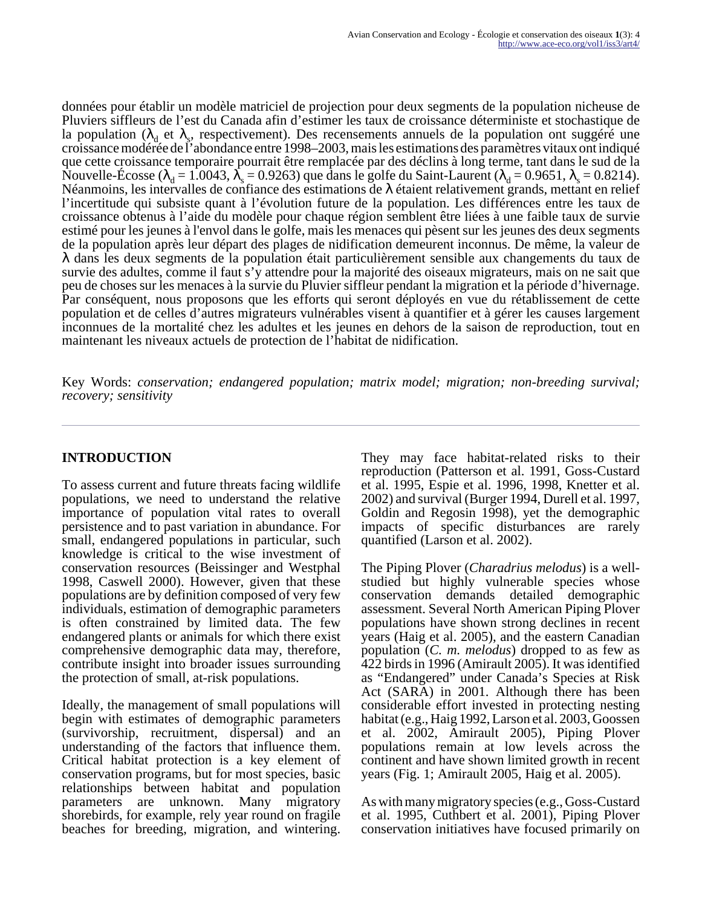données pour établir un modèle matriciel de projection pour deux segments de la population nicheuse de Pluviers siffleurs de l'est du Canada afin d'estimer les taux de croissance déterministe et stochastique de la population ( $\lambda_d$  et  $\lambda_s$ , respectivement). Des recensements annuels de la population ont suggéré une croissance modérée de l'abondance entre 1998–2003, mais les estimations des paramètres vitaux ont indiqué que cette croissance temporaire pourrait être remplacée par des déclins à long terme, tant dans le sud de la Nouvelle-Écosse ( $\lambda_d = 1.0043$ ,  $\lambda_s = 0.9263$ ) que dans le golfe du Saint-Laurent ( $\lambda_d = 0.9651$ ,  $\lambda_s = 0.8214$ ). Néanmoins, les intervalles de confiance des estimations de λ étaient relativement grands, mettant en relief l'incertitude qui subsiste quant à l'évolution future de la population. Les différences entre les taux de croissance obtenus à l'aide du modèle pour chaque région semblent être liées à une faible taux de survie estimé pour les jeunes à l'envol dans le golfe, mais les menaces qui pèsent sur les jeunes des deux segments de la population après leur départ des plages de nidification demeurent inconnus. De même, la valeur de λ dans les deux segments de la population était particulièrement sensible aux changements du taux de survie des adultes, comme il faut s'y attendre pour la majorité des oiseaux migrateurs, mais on ne sait que peu de choses sur les menaces à la survie du Pluvier siffleur pendant la migration et la période d'hivernage. Par conséquent, nous proposons que les efforts qui seront déployés en vue du rétablissement de cette population et de celles d'autres migrateurs vulnérables visent à quantifier et à gérer les causes largement inconnues de la mortalité chez les adultes et les jeunes en dehors de la saison de reproduction, tout en maintenant les niveaux actuels de protection de l'habitat de nidification.

Key Words: *conservation; endangered population; matrix model; migration; non-breeding survival; recovery; sensitivity*

## **INTRODUCTION**

To assess current and future threats facing wildlife populations, we need to understand the relative importance of population vital rates to overall persistence and to past variation in abundance. For small, endangered populations in particular, such knowledge is critical to the wise investment of conservation resources (Beissinger and Westphal 1998, Caswell 2000). However, given that these populations are by definition composed of very few individuals, estimation of demographic parameters is often constrained by limited data. The few endangered plants or animals for which there exist comprehensive demographic data may, therefore, contribute insight into broader issues surrounding the protection of small, at-risk populations.

Ideally, the management of small populations will begin with estimates of demographic parameters (survivorship, recruitment, dispersal) and an understanding of the factors that influence them. Critical habitat protection is a key element of conservation programs, but for most species, basic relationships between habitat and population parameters are unknown. Many migratory shorebirds, for example, rely year round on fragile beaches for breeding, migration, and wintering.

They may face habitat-related risks to their reproduction (Patterson et al. 1991, Goss-Custard et al. 1995, Espie et al. 1996, 1998, Knetter et al. 2002) and survival (Burger 1994, Durell et al. 1997, Goldin and Regosin 1998), yet the demographic impacts of specific disturbances are rarely quantified (Larson et al. 2002).

The Piping Plover (*Charadrius melodus*) is a wellstudied but highly vulnerable species whose conservation demands detailed demographic assessment. Several North American Piping Plover populations have shown strong declines in recent years (Haig et al. 2005), and the eastern Canadian population (*C. m. melodus*) dropped to as few as 422 birds in 1996 (Amirault 2005). It was identified as "Endangered" under Canada's Species at Risk Act (SARA) in 2001. Although there has been considerable effort invested in protecting nesting habitat (e.g., Haig 1992, Larson et al. 2003, Goossen et al. 2002, Amirault 2005), Piping Plover populations remain at low levels across the continent and have shown limited growth in recent years (Fig. 1; Amirault 2005, Haig et al. 2005).

As with many migratory species (e.g., Goss-Custard et al. 1995, Cuthbert et al. 2001), Piping Plover conservation initiatives have focused primarily on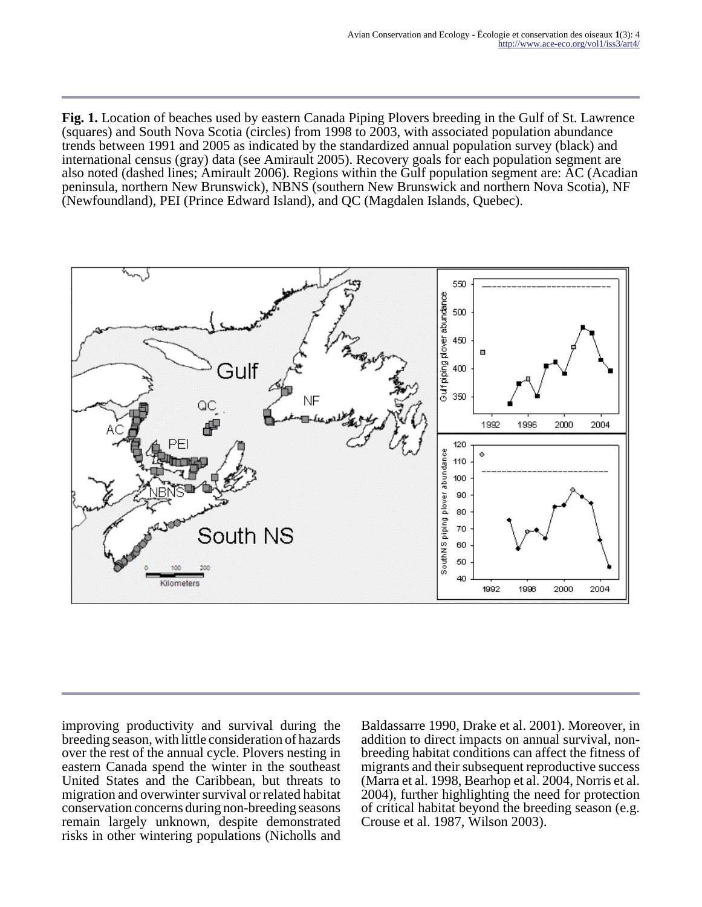**Fig. 1.** Location of beaches used by eastern Canada Piping Plovers breeding in the Gulf of St. Lawrence (squares) and South Nova Scotia (circles) from 1998 to 2003, with associated population abundance trends between 1991 and 2005 as indicated by the standardized annual population survey (black) and international census (gray) data (see Amirault 2005). Recovery goals for each population segment are also noted (dashed lines; Amirault 2006). Regions within the Gulf population segment are: AC (Acadian peninsula, northern New Brunswick), NBNS (southern New Brunswick and northern Nova Scotia), NF (Newfoundland), PEI (Prince Edward Island), and QC (Magdalen Islands, Quebec).



improving productivity and survival during the breeding season, with little consideration of hazards over the rest of the annual cycle. Plovers nesting in eastern Canada spend the winter in the southeast United States and the Caribbean, but threats to migration and overwinter survival or related habitat conservation concerns during non-breeding seasons remain largely unknown, despite demonstrated risks in other wintering populations (Nicholls and

Baldassarre 1990, Drake et al. 2001). Moreover, in addition to direct impacts on annual survival, nonbreeding habitat conditions can affect the fitness of migrants and their subsequent reproductive success (Marra et al. 1998, Bearhop et al. 2004, Norris et al. 2004), further highlighting the need for protection of critical habitat beyond the breeding season (e.g. Crouse et al. 1987, Wilson 2003).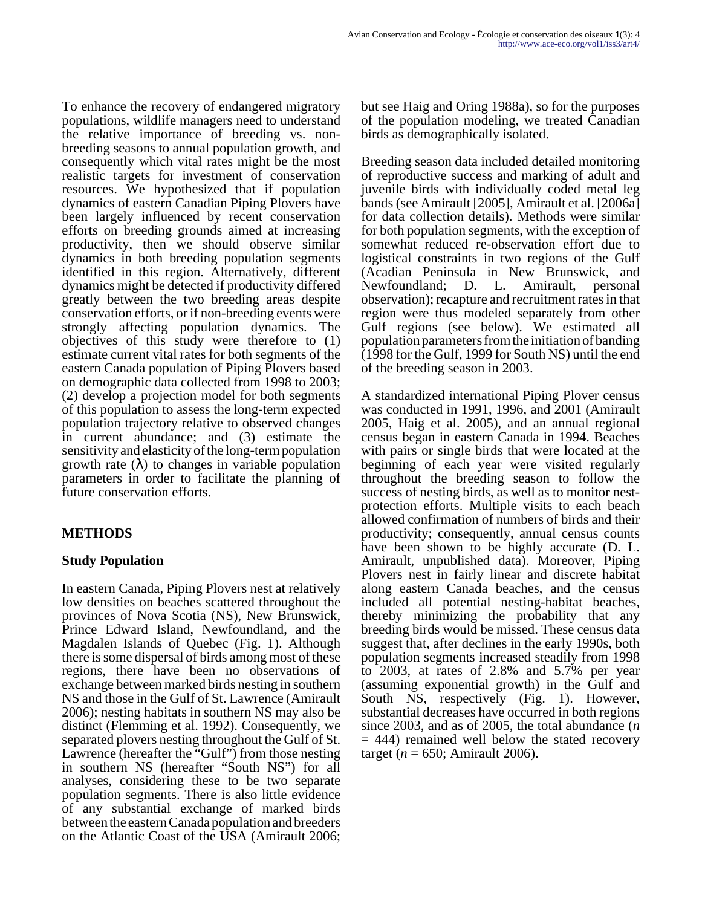To enhance the recovery of endangered migratory populations, wildlife managers need to understand the relative importance of breeding vs. nonbreeding seasons to annual population growth, and consequently which vital rates might be the most realistic targets for investment of conservation resources. We hypothesized that if population dynamics of eastern Canadian Piping Plovers have been largely influenced by recent conservation efforts on breeding grounds aimed at increasing productivity, then we should observe similar dynamics in both breeding population segments identified in this region. Alternatively, different dynamics might be detected if productivity differed greatly between the two breeding areas despite conservation efforts, or if non-breeding events were strongly affecting population dynamics. The objectives of this study were therefore to (1) estimate current vital rates for both segments of the eastern Canada population of Piping Plovers based on demographic data collected from 1998 to 2003; (2) develop a projection model for both segments of this population to assess the long-term expected population trajectory relative to observed changes in current abundance; and (3) estimate the sensitivity and elasticity of the long-term population growth rate  $(\lambda)$  to changes in variable population parameters in order to facilitate the planning of future conservation efforts.

# **METHODS**

## **Study Population**

In eastern Canada, Piping Plovers nest at relatively low densities on beaches scattered throughout the provinces of Nova Scotia (NS), New Brunswick, Prince Edward Island, Newfoundland, and the Magdalen Islands of Quebec (Fig. 1). Although there is some dispersal of birds among most of these regions, there have been no observations of exchange between marked birds nesting in southern NS and those in the Gulf of St. Lawrence (Amirault 2006); nesting habitats in southern NS may also be distinct (Flemming et al. 1992). Consequently, we separated plovers nesting throughout the Gulf of St. Lawrence (hereafter the "Gulf") from those nesting in southern NS (hereafter "South NS") for all analyses, considering these to be two separate population segments. There is also little evidence of any substantial exchange of marked birds between the eastern Canada population and breeders on the Atlantic Coast of the USA (Amirault 2006;

but see Haig and Oring 1988a), so for the purposes of the population modeling, we treated Canadian birds as demographically isolated.

Breeding season data included detailed monitoring of reproductive success and marking of adult and juvenile birds with individually coded metal leg bands (see Amirault [2005], Amirault et al. [2006a] for data collection details). Methods were similar for both population segments, with the exception of somewhat reduced re-observation effort due to logistical constraints in two regions of the Gulf (Acadian Peninsula in New Brunswick, and Newfoundland; D. L. Amirault, personal observation); recapture and recruitment rates in that region were thus modeled separately from other Gulf regions (see below). We estimated all population parameters from the initiation of banding (1998 for the Gulf, 1999 for South NS) until the end of the breeding season in 2003.

A standardized international Piping Plover census was conducted in 1991, 1996, and 2001 (Amirault 2005, Haig et al. 2005), and an annual regional census began in eastern Canada in 1994. Beaches with pairs or single birds that were located at the beginning of each year were visited regularly throughout the breeding season to follow the success of nesting birds, as well as to monitor nestprotection efforts. Multiple visits to each beach allowed confirmation of numbers of birds and their productivity; consequently, annual census counts have been shown to be highly accurate (D. L. Amirault, unpublished data). Moreover, Piping Plovers nest in fairly linear and discrete habitat along eastern Canada beaches, and the census included all potential nesting-habitat beaches, thereby minimizing the probability that any breeding birds would be missed. These census data suggest that, after declines in the early 1990s, both population segments increased steadily from 1998 to 2003, at rates of 2.8% and 5.7% per year (assuming exponential growth) in the Gulf and South NS, respectively (Fig. 1). However, substantial decreases have occurred in both regions since 2003, and as of 2005, the total abundance (*n*  $= 444$ ) remained well below the stated recovery target ( $n = 650$ ; Amirault 2006).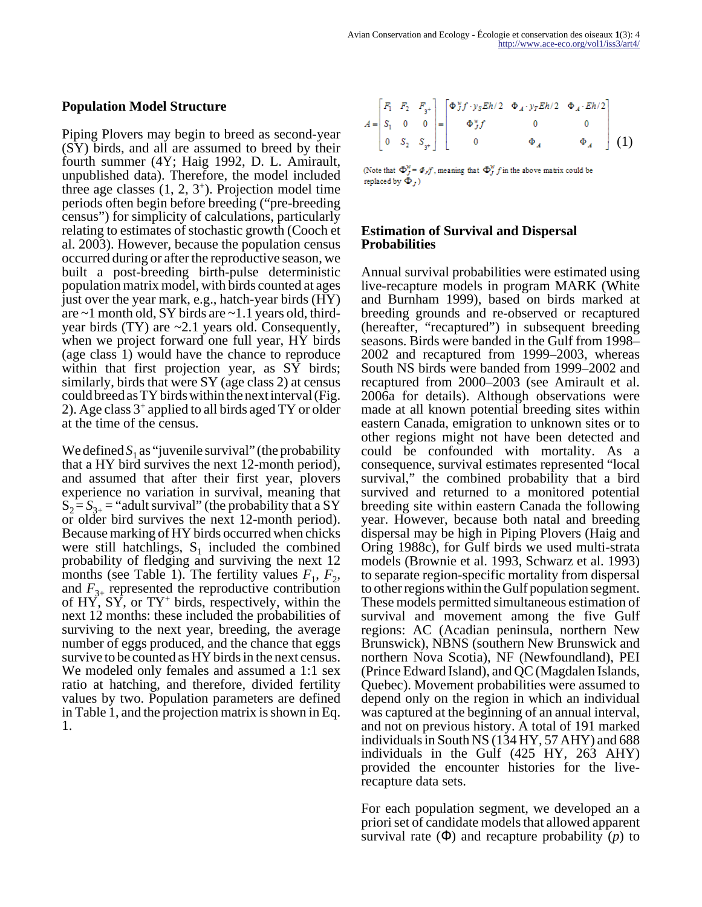#### **Population Model Structure**

Piping Plovers may begin to breed as second-year (SY) birds, and all are assumed to breed by their fourth summer (4Y; Haig 1992, D. L. Amirault, unpublished data). Therefore, the model included three age classes  $(1, 2, 3^+)$ . Projection model time periods often begin before breeding ("pre-breeding census") for simplicity of calculations, particularly relating to estimates of stochastic growth (Cooch et al. 2003). However, because the population census occurred during or after the reproductive season, we built a post-breeding birth-pulse deterministic population matrix model, with birds counted at ages just over the year mark, e.g., hatch-year birds (HY) are  $\sim$ 1 month old, SY birds are  $\sim$ 1.1 years old, thirdyear birds  $(TY)$  are  $\sim 2.1$  years old. Consequently, when we project forward one full year, HY birds (age class 1) would have the chance to reproduce within that first projection year, as SY birds; similarly, birds that were SY (age class 2) at census could breed as TY birds within the next interval (Fig. 2). Age class 3<sup>+</sup> applied to all birds aged TY or older at the time of the census.

We defined  $S_1$  as "juvenile survival" (the probability that a HY bird survives the next 12-month period), and assumed that after their first year, plovers experience no variation in survival, meaning that  $S_2 = S_{3+}$  = "adult survival" (the probability that a SY or older bird survives the next 12-month period). Because marking of HY birds occurred when chicks were still hatchlings,  $S_1$  included the combined probability of fledging and surviving the next 12 months (see Table 1). The fertility values  $F_1$ ,  $F_2$ , and  $F_{3+}$  represented the reproductive contribution of  $HY'$ ,  $SY'$ , or  $TY^+$  birds, respectively, within the next 12 months: these included the probabilities of surviving to the next year, breeding, the average number of eggs produced, and the chance that eggs survive to be counted as HY birds in the next census. We modeled only females and assumed a 1:1 sex ratio at hatching, and therefore, divided fertility values by two. Population parameters are defined in Table 1, and the projection matrix is shown in Eq. 1.

$$
A = \begin{bmatrix} F_1 & F_2 & F_3 \\ S_1 & 0 & 0 \\ 0 & S_2 & S_{3^+} \end{bmatrix} = \begin{bmatrix} \Phi^{\nu} f \cdot y_S E h/2 & \Phi_A \cdot y_T E h/2 & \Phi_A \cdot E h/2 \\ \Phi^{\nu} f & 0 & 0 \\ 0 & \Phi_A & \Phi_A \end{bmatrix} (1)
$$

(Note that  $\Phi_J^{\mathcal{W}} = \Phi_J f$ , meaning that  $\Phi_J^{\mathcal{W}} f$  in the above matrix could be replaced by  $\Phi_I$ )

#### **Estimation of Survival and Dispersal Probabilities**

Annual survival probabilities were estimated using live-recapture models in program MARK (White and Burnham 1999), based on birds marked at breeding grounds and re-observed or recaptured (hereafter, "recaptured") in subsequent breeding seasons. Birds were banded in the Gulf from 1998– 2002 and recaptured from 1999–2003, whereas South NS birds were banded from 1999–2002 and recaptured from 2000–2003 (see Amirault et al. 2006a for details). Although observations were made at all known potential breeding sites within eastern Canada, emigration to unknown sites or to other regions might not have been detected and could be confounded with mortality. As a consequence, survival estimates represented "local survival," the combined probability that a bird survived and returned to a monitored potential breeding site within eastern Canada the following year. However, because both natal and breeding dispersal may be high in Piping Plovers (Haig and Oring 1988c), for Gulf birds we used multi-strata models (Brownie et al. 1993, Schwarz et al. 1993) to separate region-specific mortality from dispersal to other regions within the Gulf population segment. These models permitted simultaneous estimation of survival and movement among the five Gulf regions: AC (Acadian peninsula, northern New Brunswick), NBNS (southern New Brunswick and northern Nova Scotia), NF (Newfoundland), PEI (Prince Edward Island), and QC (Magdalen Islands, Quebec). Movement probabilities were assumed to depend only on the region in which an individual was captured at the beginning of an annual interval, and not on previous history. A total of 191 marked individuals in South NS (134 HY, 57 AHY) and 688 individuals in the Gulf (425 HY, 263 AHY) provided the encounter histories for the liverecapture data sets.

For each population segment, we developed an a priori set of candidate models that allowed apparent survival rate (Φ) and recapture probability (*p*) to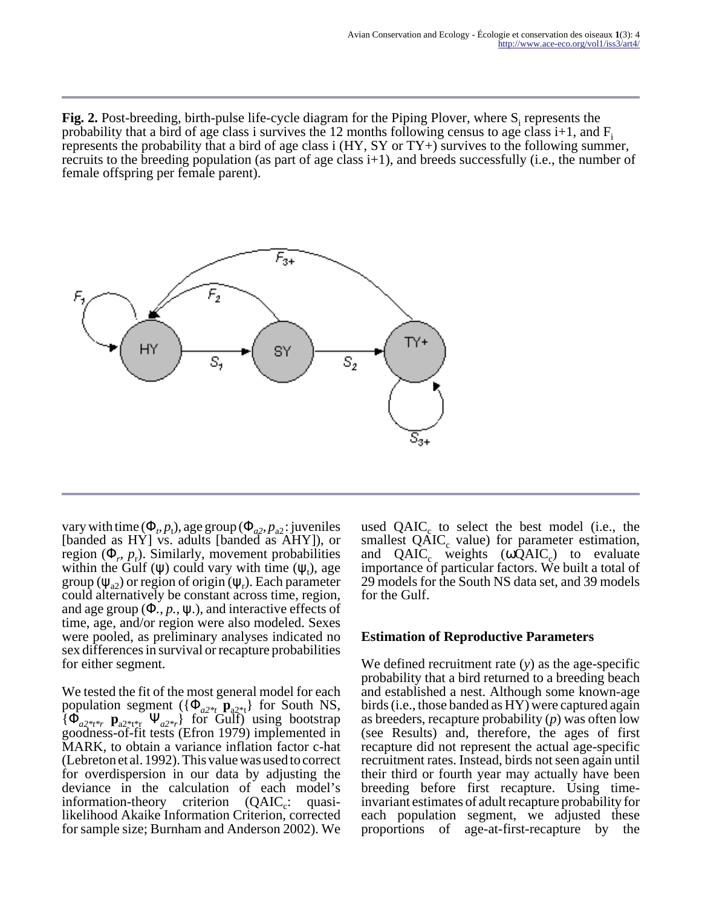Fig. 2. Post-breeding, birth-pulse life-cycle diagram for the Piping Plover, where  $S_i$  represents the probability that a bird of age class i survives the 12 months following census to age class  $i+1$ , and  $F_i$ represents the probability that a bird of age class i (HY, SY or TY+) survives to the following summer, recruits to the breeding population (as part of age class i+1), and breeds successfully (i.e., the number of female offspring per female parent).



vary with time  $(\Phi_p, p_t)$ , age group  $(\Phi_{a2}, p_{a2})$ : juveniles [banded as HY] vs. adults [banded as AHY]), or region  $(\Phi_r, p_r)$ . Similarly, movement probabilities within the Gulf ( $\psi$ ) could vary with time ( $\psi_t$ ), age group ( $\psi$ <sub>a2</sub>) or region of origin ( $\psi$ <sub>r</sub>). Each parameter could alternatively be constant across time, region, and age group  $(\Phi_1, p_1, \psi_1)$ , and interactive effects of time, age, and/or region were also modeled. Sexes were pooled, as preliminary analyses indicated no sex differences in survival or recapture probabilities for either segment.

We tested the fit of the most general model for each population segment  $({\Phi}_{a2*_{t}} \mathbf{p}_{a2*_{t}})$  for South NS, {Φ*a2\*t\*r* **p**a2\*t\*r Ψ*a2\*r*} for Gulf) using bootstrap goodness-of-fit tests (Efron 1979) implemented in MARK, to obtain a variance inflation factor c-hat (Lebreton et al. 1992). This value was used to correct for overdispersion in our data by adjusting the deviance in the calculation of each model's information-theory criterion  $(QAIC<sub>c</sub>: quasi$ likelihood Akaike Information Criterion, corrected for sample size; Burnham and Anderson 2002). We

used  $QAIC_c$  to select the best model (i.e., the smallest  $QAIC_c$  value) for parameter estimation, and  $QAIC_c$  weights  $(\omega QAIC_c)$  to evaluate importance of particular factors. We built a total of 29 models for the South NS data set, and 39 models for the Gulf.

#### **Estimation of Reproductive Parameters**

We defined recruitment rate (*y*) as the age-specific probability that a bird returned to a breeding beach and established a nest. Although some known-age birds (i.e., those banded as HY) were captured again as breeders, recapture probability (*p*) was often low (see Results) and, therefore, the ages of first recapture did not represent the actual age-specific recruitment rates. Instead, birds not seen again until their third or fourth year may actually have been breeding before first recapture. Using timeinvariant estimates of adult recapture probability for each population segment, we adjusted these proportions of age-at-first-recapture by the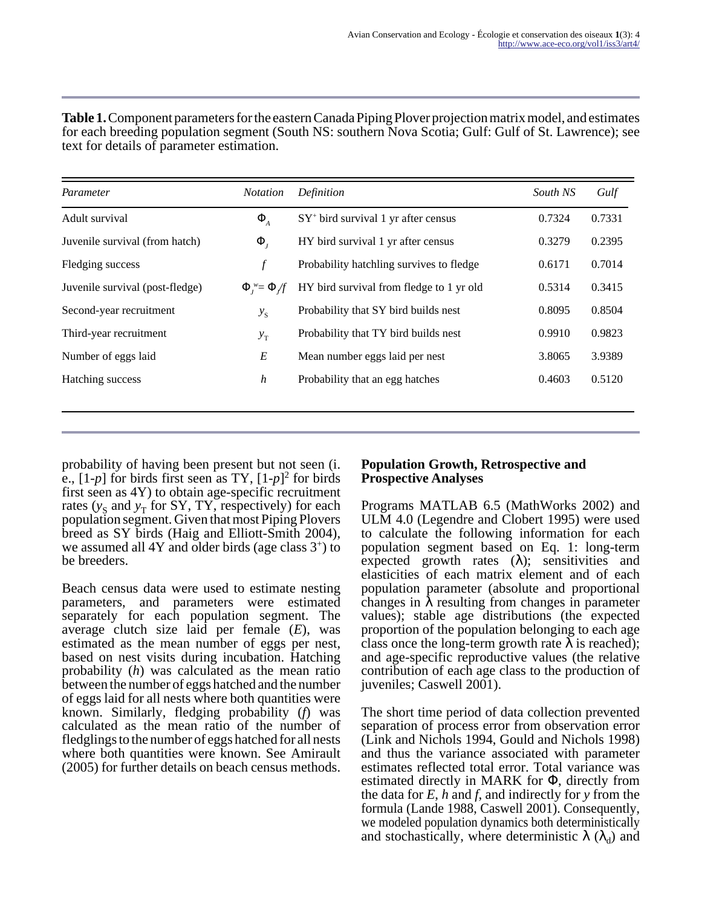| <b>Table 1.</b> Component parameters for the eastern Canada Piping Plover projection matrix model, and estimates |  |
|------------------------------------------------------------------------------------------------------------------|--|
| for each breeding population segment (South NS: southern Nova Scotia; Gulf: Gulf of St. Lawrence); see           |  |
| text for details of parameter estimation.                                                                        |  |
|                                                                                                                  |  |

| Parameter                       | <b>Notation</b>               | Definition                               | South NS | Gulf   |
|---------------------------------|-------------------------------|------------------------------------------|----------|--------|
| Adult survival                  | $\Phi_{A}$                    | $SY^+$ bird survival 1 yr after census   | 0.7324   | 0.7331 |
| Juvenile survival (from hatch)  | $\Phi_{I}$                    | HY bird survival 1 yr after census       | 0.3279   | 0.2395 |
| Fledging success                | $\mathcal{f}$                 | Probability hatchling survives to fledge | 0.6171   | 0.7014 |
| Juvenile survival (post-fledge) | $\Phi_{t}^{w} = \Phi_{t} / f$ | HY bird survival from fledge to 1 yr old | 0.5314   | 0.3415 |
| Second-year recruitment         | $y_{S}$                       | Probability that SY bird builds nest     | 0.8095   | 0.8504 |
| Third-year recruitment          | $y_T$                         | Probability that TY bird builds nest     | 0.9910   | 0.9823 |
| Number of eggs laid             | $\cal E$                      | Mean number eggs laid per nest           | 3.8065   | 3.9389 |
| Hatching success                | $\boldsymbol{h}$              | Probability that an egg hatches          | 0.4603   | 0.5120 |
|                                 |                               |                                          |          |        |

probability of having been present but not seen (i. e.,  $[1-p]$  for birds first seen as TY,  $[1-p]^2$  for birds first seen as 4Y) to obtain age-specific recruitment rates  $(y_S \text{ and } y_T \text{ for SY, TY, respectively})$  for each population segment. Given that most Piping Plovers breed as SY birds (Haig and Elliott-Smith 2004), we assumed all 4Y and older birds (age class 3<sup>+</sup>) to be breeders.

Beach census data were used to estimate nesting parameters, and parameters were estimated separately for each population segment. The average clutch size laid per female (*E*), was estimated as the mean number of eggs per nest, based on nest visits during incubation. Hatching probability (*h*) was calculated as the mean ratio between the number of eggs hatched and the number of eggs laid for all nests where both quantities were known. Similarly, fledging probability (*f*) was calculated as the mean ratio of the number of fledglings to the number of eggs hatched for all nests where both quantities were known. See Amirault (2005) for further details on beach census methods.

#### **Population Growth, Retrospective and Prospective Analyses**

Programs MATLAB 6.5 (MathWorks 2002) and ULM 4.0 (Legendre and Clobert 1995) were used to calculate the following information for each population segment based on Eq. 1: long-term expected growth rates  $(\lambda)$ ; sensitivities and elasticities of each matrix element and of each population parameter (absolute and proportional changes in  $\lambda$  resulting from changes in parameter values); stable age distributions (the expected proportion of the population belonging to each age class once the long-term growth rate  $\lambda$  is reached); and age-specific reproductive values (the relative contribution of each age class to the production of juveniles; Caswell 2001).

The short time period of data collection prevented separation of process error from observation error (Link and Nichols 1994, Gould and Nichols 1998) and thus the variance associated with parameter estimates reflected total error. Total variance was estimated directly in MARK for Φ, directly from the data for *E*, *h* and *f*, and indirectly for *y* from the formula (Lande 1988, Caswell 2001). Consequently, we modeled population dynamics both deterministically and stochastically, where deterministic  $\lambda$  ( $\lambda_d$ ) and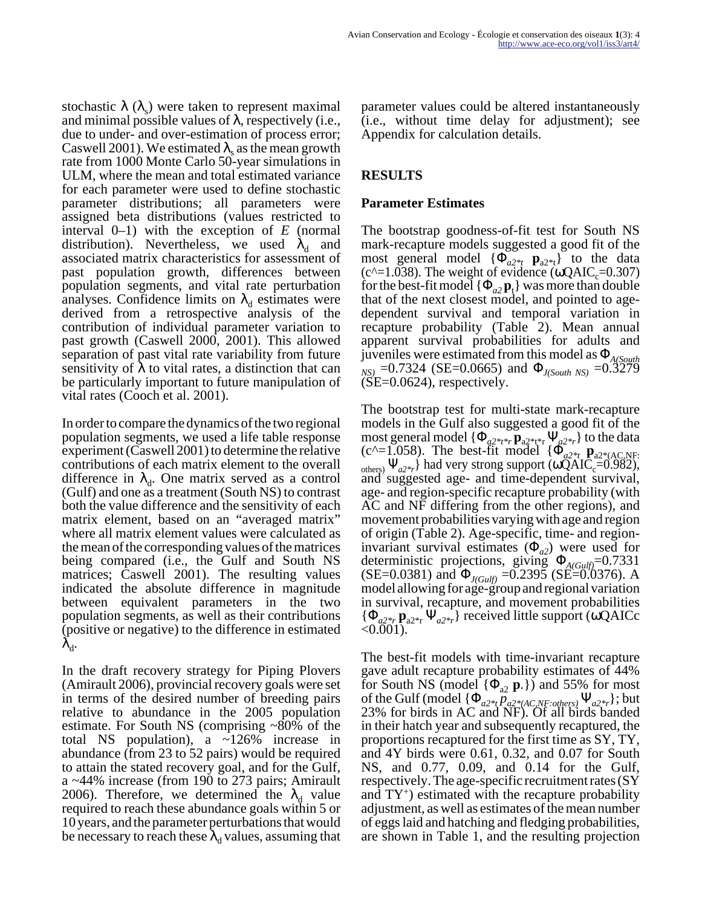stochastic  $\lambda$  ( $\lambda$ <sub>s</sub>) were taken to represent maximal and minimal possible values of  $\lambda$ , respectively (i.e., due to under- and over-estimation of process error; Caswell 2001). We estimated  $\lambda_s$  as the mean growth rate from 1000 Monte Carlo 50-year simulations in ULM, where the mean and total estimated variance for each parameter were used to define stochastic parameter distributions; all parameters were assigned beta distributions (values restricted to interval 0–1) with the exception of *E* (normal distribution). Nevertheless, we used  $\lambda_d$  and associated matrix characteristics for assessment of past population growth, differences between population segments, and vital rate perturbation analyses. Confidence limits on  $\lambda_d$  estimates were derived from a retrospective analysis of the contribution of individual parameter variation to past growth (Caswell 2000, 2001). This allowed separation of past vital rate variability from future sensitivity of  $\lambda$  to vital rates, a distinction that can be particularly important to future manipulation of vital rates (Cooch et al. 2001).

In order to compare the dynamics of the two regional population segments, we used a life table response experiment (Caswell 2001) to determine the relative contributions of each matrix element to the overall difference in  $\lambda_d$ . One matrix served as a control (Gulf) and one as a treatment (South NS) to contrast both the value difference and the sensitivity of each matrix element, based on an "averaged matrix" where all matrix element values were calculated as the mean of the corresponding values of the matrices being compared (i.e., the Gulf and South NS matrices; Caswell 2001). The resulting values indicated the absolute difference in magnitude between equivalent parameters in the two population segments, as well as their contributions (positive or negative) to the difference in estimated  $\lambda_{\rm d}.$ 

In the draft recovery strategy for Piping Plovers (Amirault 2006), provincial recovery goals were set in terms of the desired number of breeding pairs relative to abundance in the 2005 population estimate. For South NS (comprising ~80% of the total NS population), a ~126% increase in abundance (from 23 to 52 pairs) would be required to attain the stated recovery goal, and for the Gulf, a ~44% increase (from 190 to 273 pairs; Amirault 2006). Therefore, we determined the  $\lambda_d$  value required to reach these abundance goals within 5 or 10 years, and the parameter perturbations that would be necessary to reach these  $\lambda_{\rm d}$  values, assuming that parameter values could be altered instantaneously (i.e., without time delay for adjustment); see Appendix for calculation details.

## **RESULTS**

### **Parameter Estimates**

The bootstrap goodness-of-fit test for South NS mark-recapture models suggested a good fit of the most general model  $\{\Phi_{a2}^{\vee}\Psi_{a2}^{\vee}\}\$  to the data  $(c^2=1.038)$ . The weight of evidence (ωQAIC<sub>c</sub>=0.307) for the best-fit model  $\{\Phi_{a2} \mathbf{p}_1\}$  was more than double that of the next closest model, and pointed to agedependent survival and temporal variation in recapture probability (Table 2). Mean annual apparent survival probabilities for adults and juveniles were estimated from this model as Φ*A(South NS)* =0.7324 (SE=0.0665) and Φ*J(South NS)* =0.3279  $(SE=0.0624)$ , respectively.

The bootstrap test for multi-state mark-recapture models in the Gulf also suggested a good fit of the most general model {Φ*a2\*t\*r* **p**a2\*t\*r Ψ*a2\*r*} to the data  $(c^{\wedge}=1.058)$ . The best-fit model  $\{\Phi_{a2*t} \mathbf{p}_{a2*(AC,NF)}\}$  $_{\text{others}}$  Ψ<sub>*a2\*r*</sub>} had very strong support (ωQAIC<sub>c</sub>=0.982), and suggested age- and time-dependent survival, age- and region-specific recapture probability (with AC and NF differing from the other regions), and movement probabilities varying with age and region of origin (Table 2). Age-specific, time- and regioninvariant survival estimates  $(\Phi_{a2})$  were used for deterministic projections, giving Φ*A(Gulf)*=0.7331  $(SE=0.0381)$  and  $\Phi_{J(Gulf)} = 0.2395$  (SE=0.0376). A model allowing for age-group and regional variation in survival, recapture, and movement probabilities {Φ*a2\*r* **p**a2\*r Ψ*a2\*r*} received little support (ωQAICc  $< 0.001$ ).

The best-fit models with time-invariant recapture gave adult recapture probability estimates of 44% for South NS (model  $\{\Phi_{a2} \; \mathbf{p}\}\)$  and 55% for most of the Gulf (model {Φ*a2\*t pa2\*(AC,NF:others)* Ψ*a2\*r*}; but 23% for birds in AC and NF). Of all birds banded in their hatch year and subsequently recaptured, the proportions recaptured for the first time as SY, TY, and 4Y birds were 0.61, 0.32, and 0.07 for South NS, and 0.77, 0.09, and 0.14 for the Gulf, respectively. The age-specific recruitment rates (SY and  $TY^+$ ) estimated with the recapture probability adjustment, as well as estimates of the mean number of eggs laid and hatching and fledging probabilities, are shown in Table 1, and the resulting projection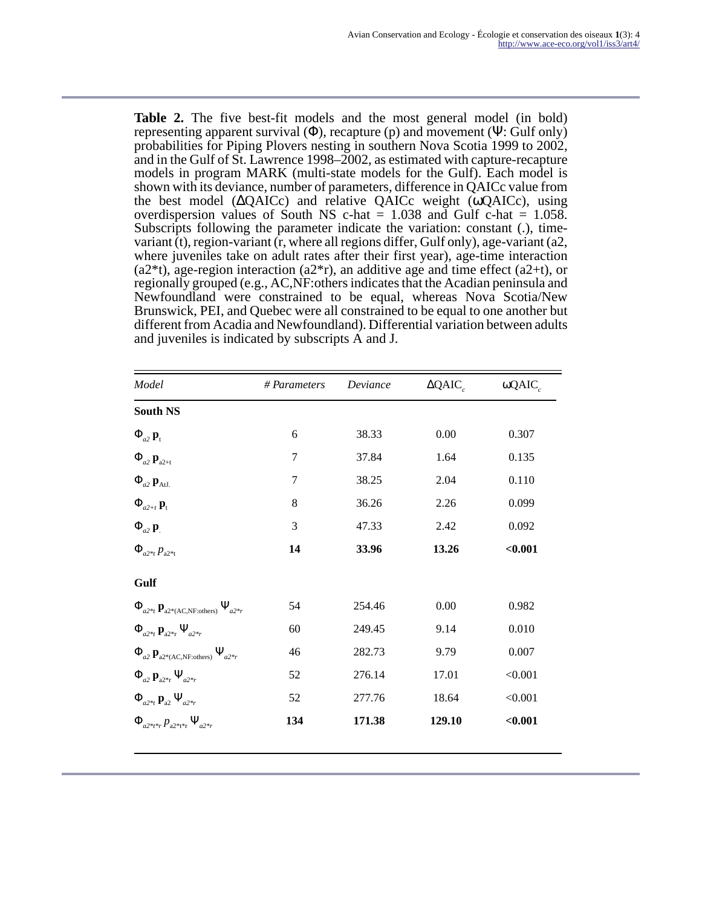**Table 2.** The five best-fit models and the most general model (in bold) representing apparent survival  $(\Phi)$ , recapture (p) and movement  $(\Psi)$ : Gulf only) probabilities for Piping Plovers nesting in southern Nova Scotia 1999 to 2002, and in the Gulf of St. Lawrence 1998–2002, as estimated with capture-recapture models in program MARK (multi-state models for the Gulf). Each model is shown with its deviance, number of parameters, difference in QAICc value from the best model (∆QAICc) and relative QAICc weight (ωQAICc), using overdispersion values of South NS c-hat  $= 1.038$  and Gulf c-hat  $= 1.058$ . Subscripts following the parameter indicate the variation: constant (.), timevariant (t), region-variant (r, where all regions differ, Gulf only), age-variant (a2, where juveniles take on adult rates after their first year), age-time interaction  $(a2*t)$ , age-region interaction  $(a2*r)$ , an additive age and time effect  $(a2+t)$ , or regionally grouped (e.g., AC,NF:others indicates that the Acadian peninsula and Newfoundland were constrained to be equal, whereas Nova Scotia/New Brunswick, PEI, and Quebec were all constrained to be equal to one another but different from Acadia and Newfoundland). Differential variation between adults and juveniles is indicated by subscripts A and J.

| Model                                                           | # Parameters   | Deviance | $\Delta QAIC_c$ | ω $QAICc$ |
|-----------------------------------------------------------------|----------------|----------|-----------------|-----------|
| <b>South NS</b>                                                 |                |          |                 |           |
| $\Phi_{a2}$ $\mathbf{p}_t$                                      | 6              | 38.33    | 0.00            | 0.307     |
| $\Phi_{a2}$ $\mathbf{p}_{a2+t}$                                 | 7              | 37.84    | 1.64            | 0.135     |
| $\Phi_{a2}$ $\mathbf{p}_{\text{AtJ}}$                           | $\overline{7}$ | 38.25    | 2.04            | 0.110     |
| $\Phi_{a2+t}$ <b>p</b> <sub>t</sub>                             | 8              | 36.26    | 2.26            | 0.099     |
| $\Phi_{a2}$ <b>p</b>                                            | 3              | 47.33    | 2.42            | 0.092     |
| $\Phi_{a2*_t} p_{a2*_t}$                                        | 14             | 33.96    | 13.26           | $0.001$   |
| Gulf                                                            |                |          |                 |           |
| $\Phi_{a2*_{t}} \mathbf{p}_{a2*(AC, NF:others)} \Psi_{a2*_{r}}$ | 54             | 254.46   | 0.00            | 0.982     |
| $\Phi_{a2*_t} \mathbf{p}_{a2*_t} \Psi_{a2*_t}$                  | 60             | 249.45   | 9.14            | 0.010     |
| $\Phi_{a2} \mathbf{p}_{a2*(AC,NF:others)} \Psi_{a2*r}$          | 46             | 282.73   | 9.79            | 0.007     |
| $\Phi_{a2} \mathbf{p}_{a2^{*}r} \Psi_{a2^{*}r}$                 | 52             | 276.14   | 17.01           | < 0.001   |
| $\Phi_{a2*_t} \mathbf{p}_{a2} \Psi_{a2*_t}$                     | 52             | 277.76   | 18.64           | < 0.001   |
| $\Phi_{a^{2**}} p_{a^{2**}} \Psi_{a^{2**}}$                     | 134            | 171.38   | 129.10          | $0.001$   |
|                                                                 |                |          |                 |           |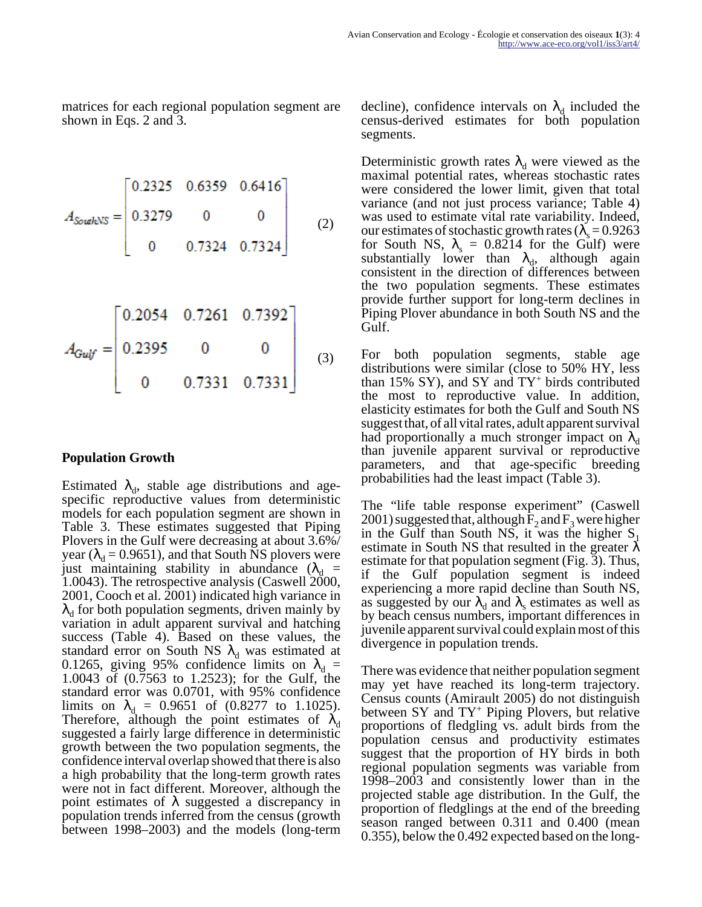matrices for each regional population segment are shown in Eqs. 2 and 3.

$$
A_{\text{SouthNS}} = \begin{bmatrix} 0.2325 & 0.6359 & 0.6416 \\ 0.3279 & 0 & 0 \\ 0 & 0.7324 & 0.7324 \end{bmatrix}
$$
 (2)

$$
A_{Gulf} = \begin{bmatrix} 0.2054 & 0.7261 & 0.7392 \\ 0.2395 & 0 & 0 \\ 0 & 0.7331 & 0.7331 \end{bmatrix}
$$
 (3)

### **Population Growth**

Estimated  $\lambda_d$ , stable age distributions and agespecific reproductive values from deterministic models for each population segment are shown in Table 3. These estimates suggested that Piping Plovers in the Gulf were decreasing at about 3.6%/ year ( $\lambda_d$  = 0.9651), and that South NS plovers were just maintaining stability in abundance  $(\lambda_d =$ 1.0043). The retrospective analysis (Caswell 2000, 2001, Cooch et al. 2001) indicated high variance in  $\lambda_d$  for both population segments, driven mainly by variation in adult apparent survival and hatching success (Table 4). Based on these values, the standard error on South NS  $\lambda_d$  was estimated at 0.1265, giving 95% confidence limits on  $\lambda_d$  = 1.0043 of (0.7563 to 1.2523); for the Gulf, the standard error was 0.0701, with 95% confidence limits on  $\lambda_d = 0.9651$  of (0.8277 to 1.1025). Therefore, although the point estimates of  $\lambda_d$ suggested a fairly large difference in deterministic growth between the two population segments, the confidence interval overlap showed that there is also a high probability that the long-term growth rates were not in fact different. Moreover, although the point estimates of  $λ$  suggested a discrepancy in population trends inferred from the census (growth between 1998–2003) and the models (long-term

decline), confidence intervals on  $\lambda_d$  included the census-derived estimates for both population segments.

Deterministic growth rates  $\lambda_d$  were viewed as the maximal potential rates, whereas stochastic rates were considered the lower limit, given that total variance (and not just process variance; Table 4) was used to estimate vital rate variability. Indeed, our estimates of stochastic growth rates ( $\lambda$ <sub>s</sub> = 0.9263 for South NS,  $\lambda_s = 0.8214$  for the Gulf) were substantially lower than  $\lambda_{d}$  although again consistent in the direction of differences between the two population segments. These estimates provide further support for long-term declines in Piping Plover abundance in both South NS and the Gulf.

For both population segments, stable age distributions were similar (close to 50% HY, less than 15% SY), and SY and  $TY^+$  birds contributed the most to reproductive value. In addition, elasticity estimates for both the Gulf and South NS suggest that, of all vital rates, adult apparent survival had proportionally a much stronger impact on  $\lambda_d$ than juvenile apparent survival or reproductive parameters, and that age-specific breeding probabilities had the least impact (Table 3).

The "life table response experiment" (Caswell  $2001$ ) suggested that, although  $F_2$  and  $F_3$  were higher in the Gulf than South NS, it was the higher  $S_1$ estimate in South NS that resulted in the greater  $\lambda$ estimate for that population segment (Fig. 3). Thus, if the Gulf population segment is indeed experiencing a more rapid decline than South NS, as suggested by our  $\lambda_d$  and  $\lambda_s$  estimates as well as by beach census numbers, important differences in juvenile apparent survival could explain most of this divergence in population trends.

There was evidence that neither population segment may yet have reached its long-term trajectory. Census counts (Amirault 2005) do not distinguish between SY and TY<sup>+</sup> Piping Plovers, but relative proportions of fledgling vs. adult birds from the population census and productivity estimates suggest that the proportion of HY birds in both regional population segments was variable from 1998–2003 and consistently lower than in the projected stable age distribution. In the Gulf, the proportion of fledglings at the end of the breeding season ranged between 0.311 and 0.400 (mean 0.355), below the 0.492 expected based on the long-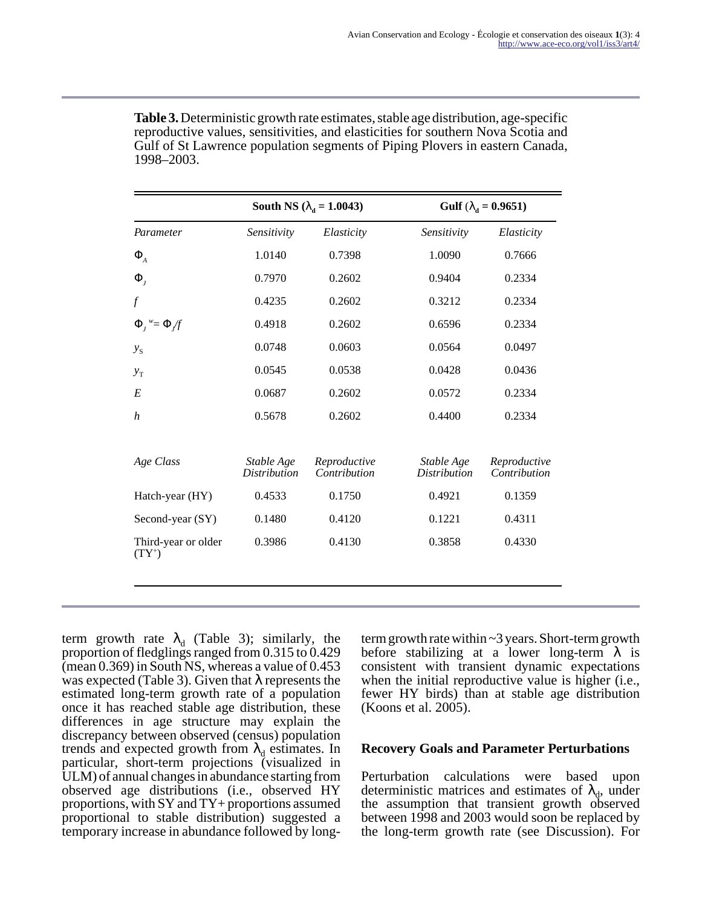|                                 |                                   | South NS ( $\lambda_d$ = 1.0043)<br>Gulf ( $\lambda_{\rm d} = 0.9651$ ) |                                   |                              |
|---------------------------------|-----------------------------------|-------------------------------------------------------------------------|-----------------------------------|------------------------------|
| Parameter                       | Sensitivity                       | Elasticity                                                              | Sensitivity                       | Elasticity                   |
| $\Phi_{A}$                      | 1.0140                            | 0.7398                                                                  | 1.0090                            | 0.7666                       |
| $\Phi_{I}$                      | 0.7970                            | 0.2602                                                                  | 0.9404                            | 0.2334                       |
| $\int$                          | 0.4235                            | 0.2602                                                                  | 0.3212                            | 0.2334                       |
| $\Phi_i^{\nu} = \Phi/f$         | 0.4918                            | 0.2602                                                                  | 0.6596                            | 0.2334                       |
| $y_{S}$                         | 0.0748                            | 0.0603                                                                  | 0.0564                            | 0.0497                       |
| $y_T$                           | 0.0545                            | 0.0538                                                                  | 0.0428                            | 0.0436                       |
| E                               | 0.0687                            | 0.2602                                                                  | 0.0572                            | 0.2334                       |
| h                               | 0.5678                            | 0.2602                                                                  | 0.4400                            | 0.2334                       |
| Age Class                       | Stable Age<br><b>Distribution</b> | Reproductive<br>Contribution                                            | Stable Age<br><b>Distribution</b> | Reproductive<br>Contribution |
| Hatch-year (HY)                 | 0.4533                            | 0.1750                                                                  | 0.4921                            | 0.1359                       |
| Second-year (SY)                | 0.1480                            | 0.4120                                                                  | 0.1221                            | 0.4311                       |
| Third-year or older<br>$(TY^+)$ | 0.3986                            | 0.4130                                                                  | 0.3858                            | 0.4330                       |
|                                 |                                   |                                                                         |                                   |                              |

**Table 3.** Deterministic growth rate estimates, stable age distribution, age-specific reproductive values, sensitivities, and elasticities for southern Nova Scotia and Gulf of St Lawrence population segments of Piping Plovers in eastern Canada, 1998–2003.

term growth rate  $\lambda_d$  (Table 3); similarly, the proportion of fledglings ranged from 0.315 to 0.429 (mean 0.369) in South NS, whereas a value of 0.453 was expected (Table 3). Given that  $\lambda$  represents the estimated long-term growth rate of a population once it has reached stable age distribution, these differences in age structure may explain the discrepancy between observed (census) population trends and expected growth from  $\lambda_d$  estimates. In particular, short-term projections (visualized in ULM) of annual changes in abundance starting from observed age distributions (i.e., observed HY proportions, with SY and TY+ proportions assumed proportional to stable distribution) suggested a temporary increase in abundance followed by longterm growth rate within ~3 years. Short-term growth before stabilizing at a lower long-term  $\lambda$  is consistent with transient dynamic expectations when the initial reproductive value is higher (i.e., fewer HY birds) than at stable age distribution (Koons et al. 2005).

#### **Recovery Goals and Parameter Perturbations**

Perturbation calculations were based upon deterministic matrices and estimates of  $\lambda_{d}$ , under the assumption that transient growth observed between 1998 and 2003 would soon be replaced by the long-term growth rate (see Discussion). For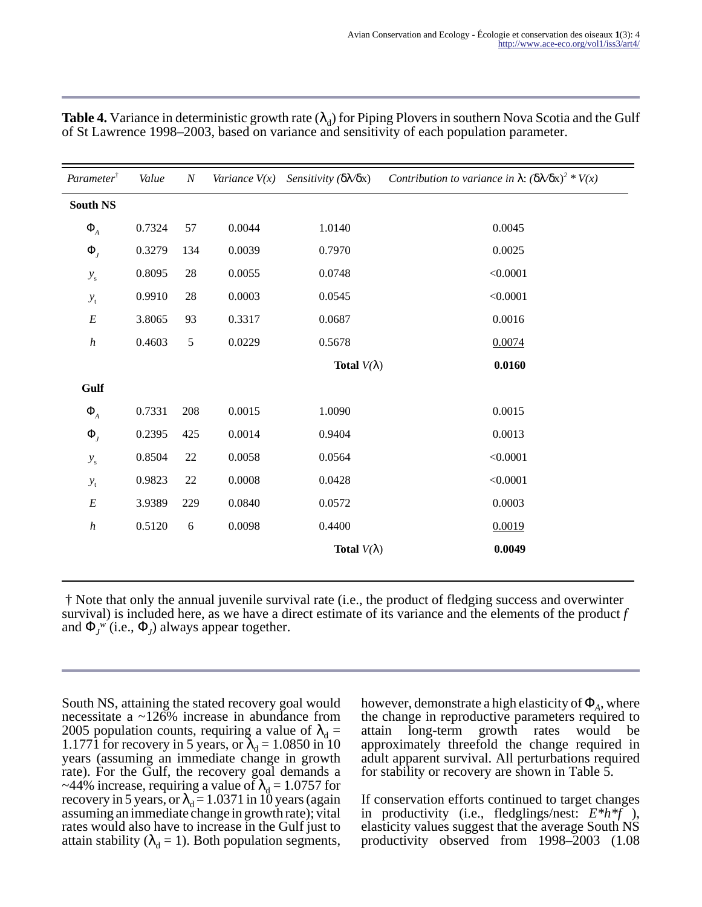| Parameter <sup>†</sup>   | Value  | $\cal N$   | Variance $V(x)$ | Sensitivity $(\delta \mathcal{N} \delta x)$ | Contribution to variance in $\lambda$ : $(\delta \lambda / \delta x)^2 * V(x)$ |
|--------------------------|--------|------------|-----------------|---------------------------------------------|--------------------------------------------------------------------------------|
| <b>South NS</b>          |        |            |                 |                                             |                                                                                |
| $\Phi_{\!{}_A}$          | 0.7324 | 57         | 0.0044          | 1.0140                                      | 0.0045                                                                         |
| $\Phi_{I}$               | 0.3279 | 134        | 0.0039          | 0.7970                                      | 0.0025                                                                         |
| $\mathcal{Y}_\mathrm{s}$ | 0.8095 | $28\,$     | 0.0055          | 0.0748                                      | < 0.0001                                                                       |
| $y_{\rm t}$              | 0.9910 | 28         | 0.0003          | 0.0545                                      | < 0.0001                                                                       |
| $\cal E$                 | 3.8065 | 93         | 0.3317          | 0.0687                                      | 0.0016                                                                         |
| $\boldsymbol{h}$         | 0.4603 | $\sqrt{5}$ | 0.0229          | 0.5678                                      | 0.0074                                                                         |
|                          |        |            |                 | Total $V(\lambda)$                          | 0.0160                                                                         |
| Gulf                     |        |            |                 |                                             |                                                                                |
| $\Phi_{\!{}_A}$          | 0.7331 | 208        | 0.0015          | 1.0090                                      | 0.0015                                                                         |
| $\Phi_{I}$               | 0.2395 | 425        | 0.0014          | 0.9404                                      | 0.0013                                                                         |
| $\mathcal{Y}_\mathrm{s}$ | 0.8504 | 22         | 0.0058          | 0.0564                                      | < 0.0001                                                                       |
| $y_{\rm t}$              | 0.9823 | 22         | 0.0008          | 0.0428                                      | < 0.0001                                                                       |
| $\cal E$                 | 3.9389 | 229        | 0.0840          | 0.0572                                      | 0.0003                                                                         |
| $\boldsymbol{h}$         | 0.5120 | $\sqrt{6}$ | 0.0098          | 0.4400                                      | 0.0019                                                                         |
|                          |        |            |                 | Total $V(\lambda)$                          | 0.0049                                                                         |

**Table 4.** Variance in deterministic growth rate  $(\lambda_d)$  for Piping Plovers in southern Nova Scotia and the Gulf of St Lawrence 1998–2003, based on variance and sensitivity of each population parameter.

 † Note that only the annual juvenile survival rate (i.e., the product of fledging success and overwinter survival) is included here, as we have a direct estimate of its variance and the elements of the product *f* and  $\Phi_J^{\ w}$  (i.e.,  $\Phi_J$ ) always appear together.

South NS, attaining the stated recovery goal would necessitate a ~126% increase in abundance from 2005 population counts, requiring a value of  $\lambda_d =$ 1.1771 for recovery in 5 years, or  $\lambda_d = 1.0850$  in 10 years (assuming an immediate change in growth rate). For the Gulf, the recovery goal demands a ~44% increase, requiring a value of  $\lambda_d = 1.0757$  for recovery in 5 years, or  $\lambda_d = 1.0371$  in 10 years (again assuming an immediate change in growth rate); vital rates would also have to increase in the Gulf just to attain stability ( $\lambda_d = 1$ ). Both population segments,

Ξ

however, demonstrate a high elasticity of  $\Phi_A$ , where the change in reproductive parameters required to attain long-term growth rates would be approximately threefold the change required in adult apparent survival. All perturbations required for stability or recovery are shown in Table 5.

If conservation efforts continued to target changes in productivity (i.e., fledglings/nest: *E\*h\*f* ), elasticity values suggest that the average South NS productivity observed from 1998–2003 (1.08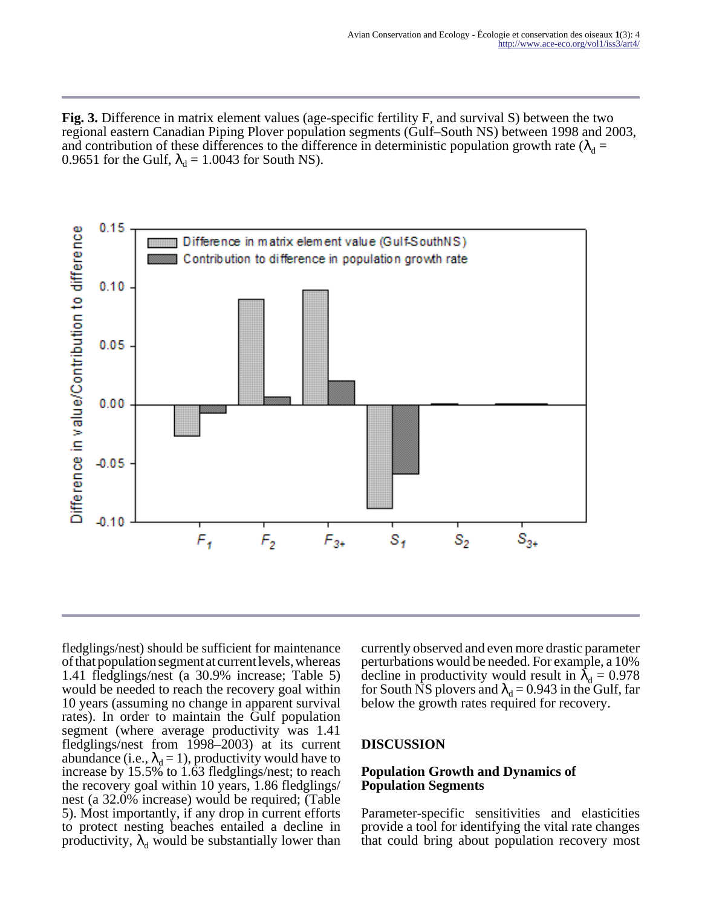**Fig. 3.** Difference in matrix element values (age-specific fertility F, and survival S) between the two regional eastern Canadian Piping Plover population segments (Gulf–South NS) between 1998 and 2003, and contribution of these differences to the difference in deterministic population growth rate ( $\lambda_d$  = 0.9651 for the Gulf,  $\lambda_d = 1.0043$  for South NS).



fledglings/nest) should be sufficient for maintenance of that population segment at current levels, whereas 1.41 fledglings/nest (a 30.9% increase; Table 5) would be needed to reach the recovery goal within 10 years (assuming no change in apparent survival rates). In order to maintain the Gulf population segment (where average productivity was 1.41 fledglings/nest from 1998–2003) at its current abundance (i.e.,  $\lambda_d = 1$ ), productivity would have to increase by 15.5% to 1.63 fledglings/nest; to reach the recovery goal within 10 years, 1.86 fledglings/ nest (a 32.0% increase) would be required; (Table 5). Most importantly, if any drop in current efforts to protect nesting beaches entailed a decline in productivity,  $\lambda_d$  would be substantially lower than currently observed and even more drastic parameter perturbations would be needed. For example, a 10% decline in productivity would result in  $\lambda_d = 0.978$ for South NS plovers and  $\lambda_d = 0.943$  in the Gulf, far below the growth rates required for recovery.

#### **DISCUSSION**

#### **Population Growth and Dynamics of Population Segments**

Parameter-specific sensitivities and elasticities provide a tool for identifying the vital rate changes that could bring about population recovery most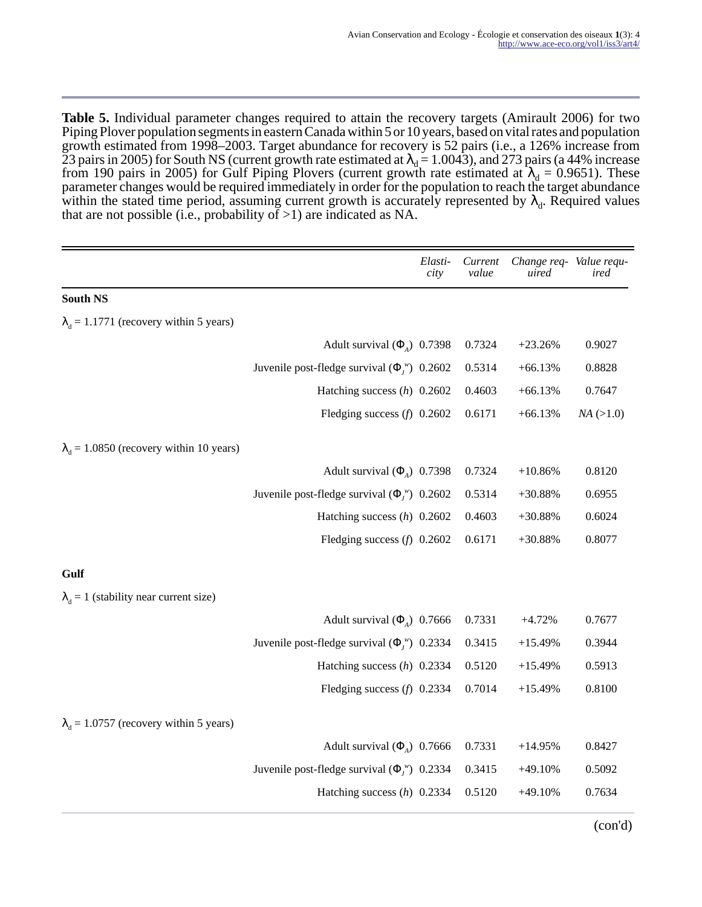**Table 5.** Individual parameter changes required to attain the recovery targets (Amirault 2006) for two Piping Plover population segments in eastern Canada within 5 or 10 years, based on vital rates and population growth estimated from 1998–2003. Target abundance for recovery is 52 pairs (i.e., a 126% increase from 23 pairs in 2005) for South NS (current growth rate estimated at  $\lambda_d$  = 1.0043), and 273 pairs (a 44% increase from 190 pairs in 2005) for Gulf Piping Plovers (current growth rate estimated at  $\lambda_d = 0.9651$ ). These parameter changes would be required immediately in order for the population to reach the target abundance within the stated time period, assuming current growth is accurately represented by  $\lambda_d$ . Required values that are not possible (i.e., probability of >1) are indicated as NA.

|                                                 |                                                       | Elasti-<br>city | Current<br>value | Change req- Value requ-<br>uired | ired        |
|-------------------------------------------------|-------------------------------------------------------|-----------------|------------------|----------------------------------|-------------|
| <b>South NS</b>                                 |                                                       |                 |                  |                                  |             |
| $\lambda_d$ = 1.1771 (recovery within 5 years)  |                                                       |                 |                  |                                  |             |
|                                                 | Adult survival $(\Phi_A)$ 0.7398                      |                 | 0.7324           | $+23.26%$                        | 0.9027      |
|                                                 | Juvenile post-fledge survival $(\Phi_j^{\nu})$ 0.2602 |                 | 0.5314           | $+66.13%$                        | 0.8828      |
|                                                 | Hatching success $(h)$ 0.2602                         |                 | 0.4603           | $+66.13%$                        | 0.7647      |
|                                                 | Fledging success $(f)$ 0.2602                         |                 | 0.6171           | $+66.13%$                        | $NA$ (>1.0) |
| $\lambda_d$ = 1.0850 (recovery within 10 years) |                                                       |                 |                  |                                  |             |
|                                                 | Adult survival $(\Phi_A)$ 0.7398                      |                 | 0.7324           | $+10.86%$                        | 0.8120      |
|                                                 | Juvenile post-fledge survival $(\Phi_l^{\nu})$ 0.2602 |                 | 0.5314           | $+30.88%$                        | 0.6955      |
|                                                 | Hatching success $(h)$ 0.2602                         |                 | 0.4603           | $+30.88%$                        | 0.6024      |
|                                                 | Fledging success $(f)$ 0.2602                         |                 | 0.6171           | $+30.88%$                        | 0.8077      |
| Gulf                                            |                                                       |                 |                  |                                  |             |
| $\lambda_d = 1$ (stability near current size)   |                                                       |                 |                  |                                  |             |
|                                                 | Adult survival $(\Phi_{A})$ 0.7666                    |                 | 0.7331           | $+4.72%$                         | 0.7677      |
|                                                 | Juvenile post-fledge survival $(\Phi_i^{\nu})$ 0.2334 |                 | 0.3415           | $+15.49%$                        | 0.3944      |
|                                                 | Hatching success $(h)$ 0.2334                         |                 | 0.5120           | $+15.49%$                        | 0.5913      |
|                                                 | Fledging success $(f)$ 0.2334                         |                 | 0.7014           | $+15.49%$                        | 0.8100      |
| $\lambda_d$ = 1.0757 (recovery within 5 years)  |                                                       |                 |                  |                                  |             |
|                                                 | Adult survival $(\Phi_{A})$ 0.7666                    |                 | 0.7331           | $+14.95%$                        | 0.8427      |
|                                                 | Juvenile post-fledge survival $(\Phi_l^{\nu})$ 0.2334 |                 | 0.3415           | $+49.10%$                        | 0.5092      |
|                                                 | Hatching success $(h)$ 0.2334                         |                 | 0.5120           | $+49.10%$                        | 0.7634      |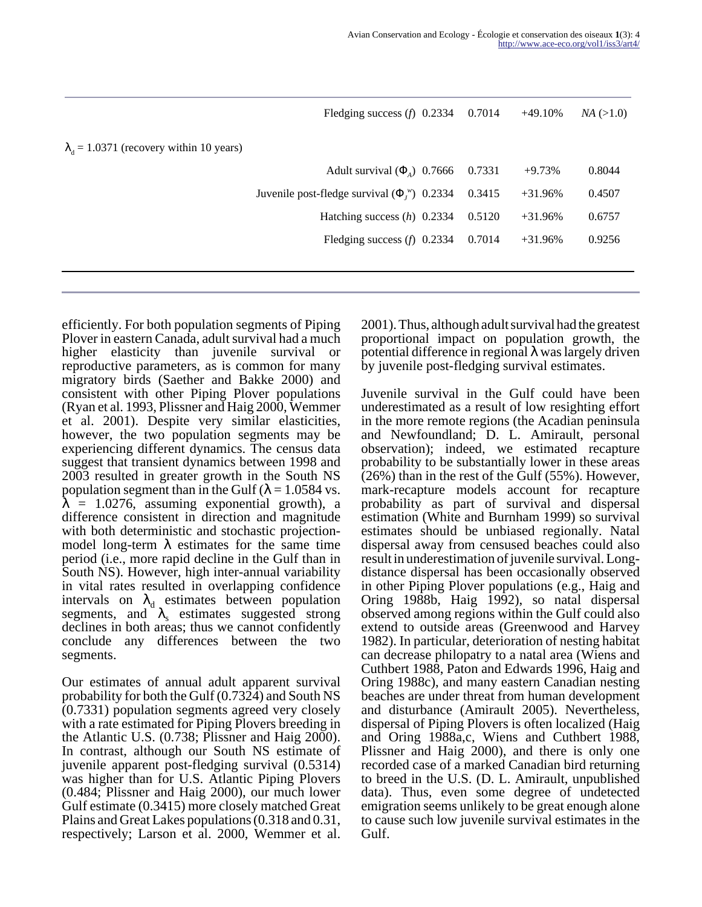|                                                   | Fledging success $(f)$ 0.2334                         | 0.7014 | $+49.10%$ | $NA$ (>1.0) |
|---------------------------------------------------|-------------------------------------------------------|--------|-----------|-------------|
| $\lambda_{A} = 1.0371$ (recovery within 10 years) |                                                       |        |           |             |
|                                                   | Adult survival $(\Phi_{\lambda})$ 0.7666              | 0.7331 | $+9.73%$  | 0.8044      |
|                                                   | Juvenile post-fledge survival $(\Phi_i^{\nu})$ 0.2334 | 0.3415 | $+31.96%$ | 0.4507      |
|                                                   | Hatching success $(h)$ 0.2334                         | 0.5120 | $+31.96%$ | 0.6757      |
|                                                   | Fledging success $(f)$ 0.2334                         | 0.7014 | $+31.96%$ | 0.9256      |
|                                                   |                                                       |        |           |             |
|                                                   |                                                       |        |           |             |

efficiently. For both population segments of Piping Plover in eastern Canada, adult survival had a much higher elasticity than juvenile survival or reproductive parameters, as is common for many migratory birds (Saether and Bakke 2000) and consistent with other Piping Plover populations (Ryan et al. 1993, Plissner and Haig 2000, Wemmer et al. 2001). Despite very similar elasticities, however, the two population segments may be experiencing different dynamics. The census data suggest that transient dynamics between 1998 and 2003 resulted in greater growth in the South NS population segment than in the Gulf ( $\lambda$  = 1.0584 vs.  $\lambda$  = 1.0276, assuming exponential growth), a difference consistent in direction and magnitude with both deterministic and stochastic projectionmodel long-term  $\lambda$  estimates for the same time period (i.e., more rapid decline in the Gulf than in South NS). However, high inter-annual variability in vital rates resulted in overlapping confidence intervals on  $\lambda_d$  estimates between population segments, and  $\lambda_s$  estimates suggested strong declines in both areas; thus we cannot confidently conclude any differences between the two segments.

Our estimates of annual adult apparent survival probability for both the Gulf (0.7324) and South NS (0.7331) population segments agreed very closely with a rate estimated for Piping Plovers breeding in the Atlantic U.S. (0.738; Plissner and Haig 2000). In contrast, although our South NS estimate of juvenile apparent post-fledging survival (0.5314) was higher than for U.S. Atlantic Piping Plovers (0.484; Plissner and Haig 2000), our much lower Gulf estimate (0.3415) more closely matched Great Plains and Great Lakes populations (0.318 and 0.31, respectively; Larson et al. 2000, Wemmer et al.

2001). Thus, although adult survival had the greatest proportional impact on population growth, the potential difference in regional  $\lambda$  was largely driven by juvenile post-fledging survival estimates.

Juvenile survival in the Gulf could have been underestimated as a result of low resighting effort in the more remote regions (the Acadian peninsula and Newfoundland; D. L. Amirault, personal observation); indeed, we estimated recapture probability to be substantially lower in these areas (26%) than in the rest of the Gulf (55%). However, mark-recapture models account for recapture probability as part of survival and dispersal estimation (White and Burnham 1999) so survival estimates should be unbiased regionally. Natal dispersal away from censused beaches could also result in underestimation of juvenile survival. Longdistance dispersal has been occasionally observed in other Piping Plover populations (e.g., Haig and Oring 1988b, Haig 1992), so natal dispersal observed among regions within the Gulf could also extend to outside areas (Greenwood and Harvey 1982). In particular, deterioration of nesting habitat can decrease philopatry to a natal area (Wiens and Cuthbert 1988, Paton and Edwards 1996, Haig and Oring 1988c), and many eastern Canadian nesting beaches are under threat from human development and disturbance (Amirault 2005). Nevertheless, dispersal of Piping Plovers is often localized (Haig and Oring 1988a,c, Wiens and Cuthbert 1988, Plissner and Haig 2000), and there is only one recorded case of a marked Canadian bird returning to breed in the U.S. (D. L. Amirault, unpublished data). Thus, even some degree of undetected emigration seems unlikely to be great enough alone to cause such low juvenile survival estimates in the Gulf.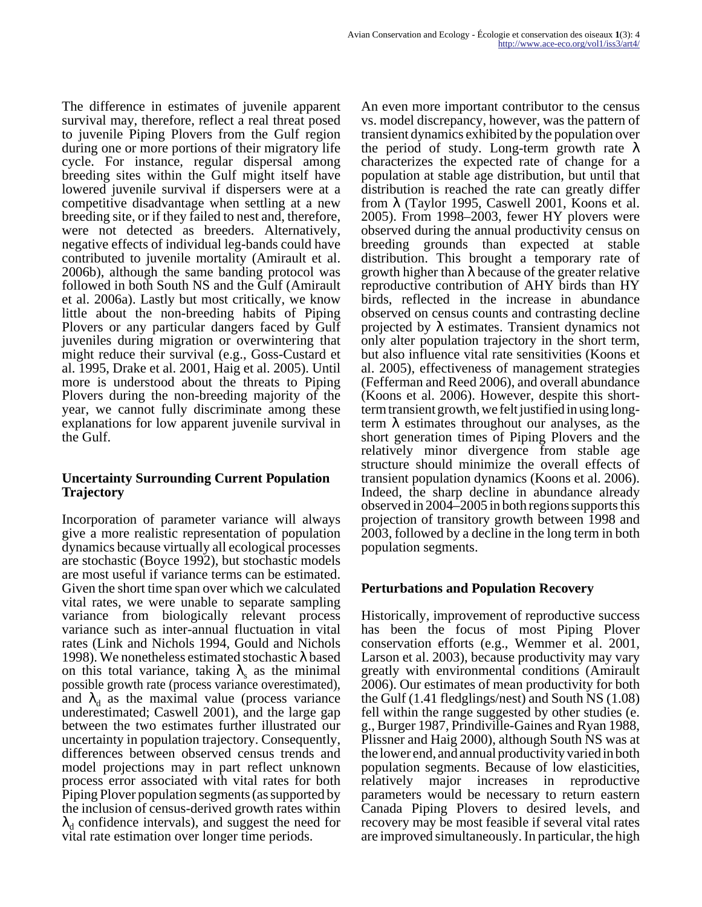The difference in estimates of juvenile apparent survival may, therefore, reflect a real threat posed to juvenile Piping Plovers from the Gulf region during one or more portions of their migratory life cycle. For instance, regular dispersal among breeding sites within the Gulf might itself have lowered juvenile survival if dispersers were at a competitive disadvantage when settling at a new breeding site, or if they failed to nest and, therefore, were not detected as breeders. Alternatively, negative effects of individual leg-bands could have contributed to juvenile mortality (Amirault et al. 2006b), although the same banding protocol was followed in both South NS and the Gulf (Amirault et al. 2006a). Lastly but most critically, we know little about the non-breeding habits of Piping Plovers or any particular dangers faced by Gulf juveniles during migration or overwintering that might reduce their survival (e.g., Goss-Custard et al. 1995, Drake et al. 2001, Haig et al. 2005). Until more is understood about the threats to Piping Plovers during the non-breeding majority of the year, we cannot fully discriminate among these explanations for low apparent juvenile survival in the Gulf.

#### **Uncertainty Surrounding Current Population Trajectory**

Incorporation of parameter variance will always give a more realistic representation of population dynamics because virtually all ecological processes are stochastic (Boyce 1992), but stochastic models are most useful if variance terms can be estimated. Given the short time span over which we calculated vital rates, we were unable to separate sampling variance from biologically relevant process variance such as inter-annual fluctuation in vital rates (Link and Nichols 1994, Gould and Nichols 1998). We nonetheless estimated stochastic  $\lambda$  based on this total variance, taking  $\lambda_s$  as the minimal possible growth rate (process variance overestimated), and  $\lambda_d$  as the maximal value (process variance underestimated; Caswell 2001), and the large gap between the two estimates further illustrated our uncertainty in population trajectory. Consequently, differences between observed census trends and model projections may in part reflect unknown process error associated with vital rates for both Piping Plover population segments (as supported by the inclusion of census-derived growth rates within  $\lambda_d$  confidence intervals), and suggest the need for vital rate estimation over longer time periods.

An even more important contributor to the census vs. model discrepancy, however, was the pattern of transient dynamics exhibited by the population over the period of study. Long-term growth rate  $\lambda$ characterizes the expected rate of change for a population at stable age distribution, but until that distribution is reached the rate can greatly differ from  $\lambda$  (Taylor 1995, Caswell 2001, Koons et al. 2005). From 1998–2003, fewer HY plovers were observed during the annual productivity census on breeding grounds than expected at stable distribution. This brought a temporary rate of growth higher than  $\lambda$  because of the greater relative reproductive contribution of AHY birds than HY birds, reflected in the increase in abundance observed on census counts and contrasting decline projected by  $\lambda$  estimates. Transient dynamics not only alter population trajectory in the short term, but also influence vital rate sensitivities (Koons et al. 2005), effectiveness of management strategies (Fefferman and Reed 2006), and overall abundance (Koons et al. 2006). However, despite this shortterm transient growth, we felt justified in using longterm  $\lambda$  estimates throughout our analyses, as the short generation times of Piping Plovers and the relatively minor divergence from stable age structure should minimize the overall effects of transient population dynamics (Koons et al. 2006). Indeed, the sharp decline in abundance already observed in 2004–2005 in both regions supports this projection of transitory growth between 1998 and 2003, followed by a decline in the long term in both population segments.

## **Perturbations and Population Recovery**

Historically, improvement of reproductive success has been the focus of most Piping Plover conservation efforts (e.g., Wemmer et al. 2001, Larson et al. 2003), because productivity may vary greatly with environmental conditions (Amirault 2006). Our estimates of mean productivity for both the Gulf (1.41 fledglings/nest) and South NS (1.08) fell within the range suggested by other studies (e. g., Burger 1987, Prindiville-Gaines and Ryan 1988, Plissner and Haig 2000), although South NS was at the lower end, and annual productivity varied in both population segments. Because of low elasticities, relatively major increases in reproductive parameters would be necessary to return eastern Canada Piping Plovers to desired levels, and recovery may be most feasible if several vital rates are improved simultaneously. In particular, the high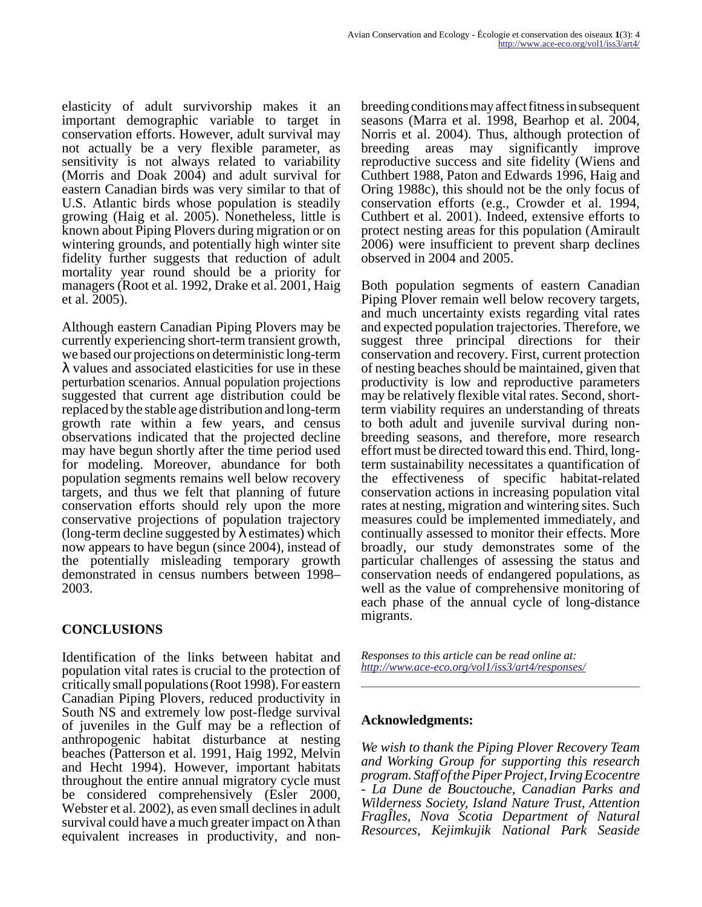elasticity of adult survivorship makes it an important demographic variable to target in conservation efforts. However, adult survival may not actually be a very flexible parameter, as sensitivity is not always related to variability (Morris and Doak 2004) and adult survival for eastern Canadian birds was very similar to that of U.S. Atlantic birds whose population is steadily growing (Haig et al. 2005). Nonetheless, little is known about Piping Plovers during migration or on wintering grounds, and potentially high winter site fidelity further suggests that reduction of adult mortality year round should be a priority for managers (Root et al. 1992, Drake et al. 2001, Haig et al. 2005).

Although eastern Canadian Piping Plovers may be currently experiencing short-term transient growth, we based our projections on deterministic long-term λ values and associated elasticities for use in these perturbation scenarios. Annual population projections suggested that current age distribution could be replaced by the stable age distribution and long-term growth rate within a few years, and census observations indicated that the projected decline may have begun shortly after the time period used for modeling. Moreover, abundance for both population segments remains well below recovery targets, and thus we felt that planning of future conservation efforts should rely upon the more conservative projections of population trajectory (long-term decline suggested by  $\lambda$  estimates) which now appears to have begun (since 2004), instead of the potentially misleading temporary growth demonstrated in census numbers between 1998– 2003.

# **CONCLUSIONS**

Identification of the links between habitat and population vital rates is crucial to the protection of critically small populations (Root 1998). For eastern Canadian Piping Plovers, reduced productivity in South NS and extremely low post-fledge survival of juveniles in the Gulf may be a reflection of anthropogenic habitat disturbance at nesting beaches (Patterson et al. 1991, Haig 1992, Melvin and Hecht 1994). However, important habitats throughout the entire annual migratory cycle must be considered comprehensively (Esler 2000, Webster et al. 2002), as even small declines in adult survival could have a much greater impact on  $\lambda$  than equivalent increases in productivity, and nonbreeding conditions may affect fitness in subsequent seasons (Marra et al. 1998, Bearhop et al. 2004, Norris et al. 2004). Thus, although protection of breeding areas may significantly improve reproductive success and site fidelity (Wiens and Cuthbert 1988, Paton and Edwards 1996, Haig and Oring 1988c), this should not be the only focus of conservation efforts (e.g., Crowder et al. 1994, Cuthbert et al. 2001). Indeed, extensive efforts to protect nesting areas for this population (Amirault 2006) were insufficient to prevent sharp declines observed in 2004 and 2005.

Both population segments of eastern Canadian Piping Plover remain well below recovery targets, and much uncertainty exists regarding vital rates and expected population trajectories. Therefore, we suggest three principal directions for their conservation and recovery. First, current protection of nesting beaches should be maintained, given that productivity is low and reproductive parameters may be relatively flexible vital rates. Second, shortterm viability requires an understanding of threats to both adult and juvenile survival during nonbreeding seasons, and therefore, more research effort must be directed toward this end. Third, longterm sustainability necessitates a quantification of the effectiveness of specific habitat-related conservation actions in increasing population vital rates at nesting, migration and wintering sites. Such measures could be implemented immediately, and continually assessed to monitor their effects. More broadly, our study demonstrates some of the particular challenges of assessing the status and conservation needs of endangered populations, as well as the value of comprehensive monitoring of each phase of the annual cycle of long-distance migrants.

*Responses to this article can be read online at: <http://www.ace-eco.org/vol1/iss3/art4/responses/>*

#### **Acknowledgments:**

*We wish to thank the Piping Plover Recovery Team and Working Group for supporting this research program. Staff of the Piper Project, Irving Ecocentre - La Dune de Bouctouche, Canadian Parks and Wilderness Society, Island Nature Trust, Attention FragÎles, Nova Scotia Department of Natural Resources, Kejimkujik National Park Seaside*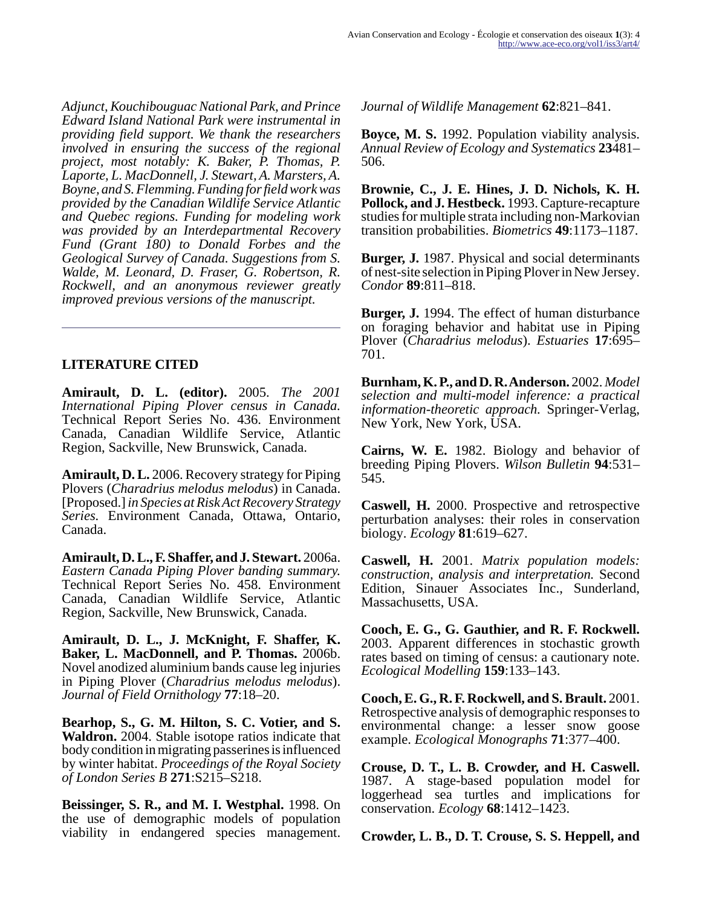*Adjunct, Kouchibouguac National Park, and Prince Edward Island National Park were instrumental in providing field support. We thank the researchers involved in ensuring the success of the regional project, most notably: K. Baker, P. Thomas, P. Laporte, L. MacDonnell, J. Stewart, A. Marsters, A. Boyne, and S. Flemming. Funding for field work was provided by the Canadian Wildlife Service Atlantic and Quebec regions. Funding for modeling work was provided by an Interdepartmental Recovery Fund (Grant 180) to Donald Forbes and the Geological Survey of Canada. Suggestions from S. Walde, M. Leonard, D. Fraser, G. Robertson, R. Rockwell, and an anonymous reviewer greatly improved previous versions of the manuscript.*

#### **LITERATURE CITED**

**Amirault, D. L. (editor).** 2005. *The 2001 International Piping Plover census in Canada.* Technical Report Series No. 436. Environment Canada, Canadian Wildlife Service, Atlantic Region, Sackville, New Brunswick, Canada.

**Amirault, D. L.** 2006. Recovery strategy for Piping Plovers (*Charadrius melodus melodus*) in Canada. [Proposed.] *in Species at Risk Act Recovery Strategy Series.* Environment Canada, Ottawa, Ontario, Canada.

**Amirault, D. L., F. Shaffer, and J. Stewart.** 2006a. *Eastern Canada Piping Plover banding summary.* Technical Report Series No. 458. Environment Canada, Canadian Wildlife Service, Atlantic Region, Sackville, New Brunswick, Canada.

**Amirault, D. L., J. McKnight, F. Shaffer, K. Baker, L. MacDonnell, and P. Thomas.** 2006b. Novel anodized aluminium bands cause leg injuries in Piping Plover (*Charadrius melodus melodus*). *Journal of Field Ornithology* **77**:18–20.

**Bearhop, S., G. M. Hilton, S. C. Votier, and S. Waldron.** 2004. Stable isotope ratios indicate that body condition in migrating passerines is influenced by winter habitat. *Proceedings of the Royal Society of London Series B* **271**:S215–S218.

**Beissinger, S. R., and M. I. Westphal.** 1998. On the use of demographic models of population viability in endangered species management. *Journal of Wildlife Management* **62**:821–841.

**Boyce, M. S.** 1992. Population viability analysis. *Annual Review of Ecology and Systematics* **23**481– 506.

**Brownie, C., J. E. Hines, J. D. Nichols, K. H. Pollock, and J. Hestbeck.** 1993. Capture-recapture studies for multiple strata including non-Markovian transition probabilities. *Biometrics* **49**:1173–1187.

**Burger, J.** 1987. Physical and social determinants of nest-site selection in Piping Plover in New Jersey. *Condor* **89**:811–818.

**Burger, J.** 1994. The effect of human disturbance on foraging behavior and habitat use in Piping Plover (*Charadrius melodus*). *Estuaries* **17**:695– 701.

**Burnham, K. P., and D. R. Anderson.** 2002. *Model selection and multi-model inference: a practical information-theoretic approach.* Springer-Verlag, New York, New York, USA.

**Cairns, W. E.** 1982. Biology and behavior of breeding Piping Plovers. *Wilson Bulletin* **94**:531– 545.

**Caswell, H.** 2000. Prospective and retrospective perturbation analyses: their roles in conservation biology. *Ecology* **81**:619–627.

**Caswell, H.** 2001. *Matrix population models: construction, analysis and interpretation.* Second Edition, Sinauer Associates Inc., Sunderland, Massachusetts, USA.

**Cooch, E. G., G. Gauthier, and R. F. Rockwell.** 2003. Apparent differences in stochastic growth rates based on timing of census: a cautionary note. *Ecological Modelling* **159**:133–143.

**Cooch, E. G., R. F. Rockwell, and S. Brault.** 2001. Retrospective analysis of demographic responses to environmental change: a lesser snow goose example. *Ecological Monographs* **71**:377–400.

**Crouse, D. T., L. B. Crowder, and H. Caswell.** 1987. A stage-based population model for loggerhead sea turtles and implications for conservation. *Ecology* **68**:1412–1423.

**Crowder, L. B., D. T. Crouse, S. S. Heppell, and**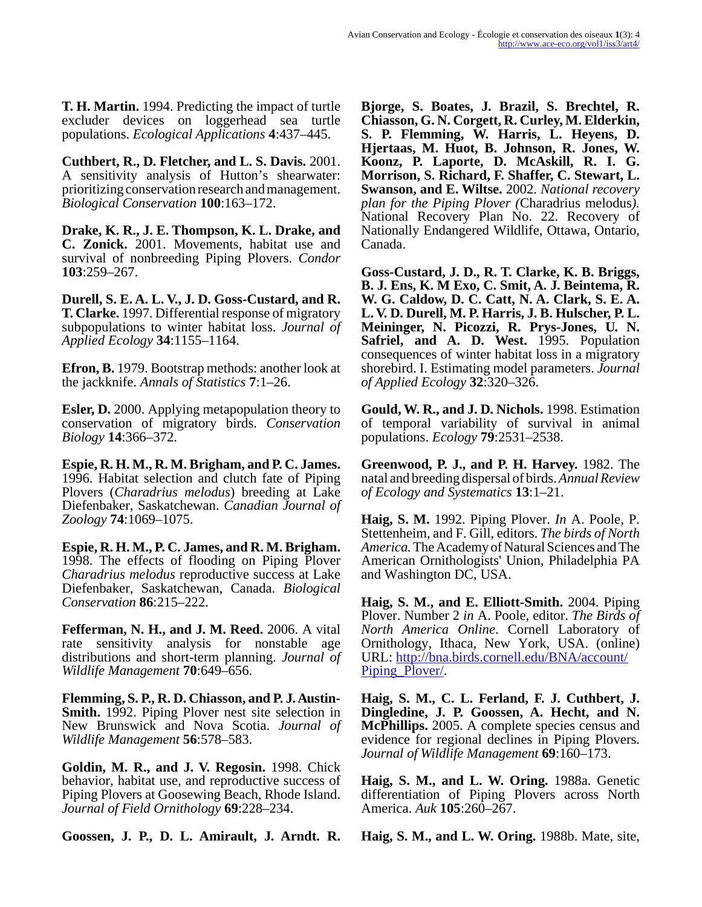**T. H. Martin.** 1994. Predicting the impact of turtle excluder devices on loggerhead sea turtle populations. *Ecological Applications* **4**:437–445.

**Cuthbert, R., D. Fletcher, and L. S. Davis.** 2001. A sensitivity analysis of Hutton's shearwater: prioritizing conservation research and management. *Biological Conservation* **100**:163–172.

**Drake, K. R., J. E. Thompson, K. L. Drake, and C. Zonick.** 2001. Movements, habitat use and survival of nonbreeding Piping Plovers. *Condor* **103**:259–267.

**Durell, S. E. A. L. V., J. D. Goss-Custard, and R. T. Clarke.** 1997. Differential response of migratory subpopulations to winter habitat loss. *Journal of Applied Ecology* **34**:1155–1164.

**Efron, B.** 1979. Bootstrap methods: another look at the jackknife. *Annals of Statistics* **7**:1–26.

**Esler, D.** 2000. Applying metapopulation theory to conservation of migratory birds. *Conservation Biology* **14**:366–372.

**Espie, R. H. M., R. M. Brigham, and P. C. James.** 1996. Habitat selection and clutch fate of Piping Plovers (*Charadrius melodus*) breeding at Lake Diefenbaker, Saskatchewan. *Canadian Journal of Zoology* **74**:1069–1075.

**Espie, R. H. M., P. C. James, and R. M. Brigham.** 1998. The effects of flooding on Piping Plover *Charadrius melodus* reproductive success at Lake Diefenbaker, Saskatchewan, Canada. *Biological Conservation* **86**:215–222.

**Fefferman, N. H., and J. M. Reed.** 2006. A vital rate sensitivity analysis for nonstable age distributions and short-term planning. *Journal of Wildlife Management* **70**:649–656.

**Flemming, S. P., R. D. Chiasson, and P. J. Austin-Smith.** 1992. Piping Plover nest site selection in New Brunswick and Nova Scotia. *Journal of Wildlife Management* **56**:578–583.

**Goldin, M. R., and J. V. Regosin.** 1998. Chick behavior, habitat use, and reproductive success of Piping Plovers at Goosewing Beach, Rhode Island. *Journal of Field Ornithology* **69**:228–234.

**Goossen, J. P., D. L. Amirault, J. Arndt. R.**

**Bjorge, S. Boates, J. Brazil, S. Brechtel, R. Chiasson, G. N. Corgett, R. Curley, M. Elderkin, S. P. Flemming, W. Harris, L. Heyens, D. Hjertaas, M. Huot, B. Johnson, R. Jones, W. Koonz, P. Laporte, D. McAskill, R. I. G. Morrison, S. Richard, F. Shaffer, C. Stewart, L. Swanson, and E. Wiltse.** 2002. *National recovery plan for the Piping Plover (*Charadrius melodus*).* National Recovery Plan No. 22. Recovery of Nationally Endangered Wildlife, Ottawa, Ontario, Canada.

**Goss-Custard, J. D., R. T. Clarke, K. B. Briggs, B. J. Ens, K. M Exo, C. Smit, A. J. Beintema, R. W. G. Caldow, D. C. Catt, N. A. Clark, S. E. A. L. V. D. Durell, M. P. Harris, J. B. Hulscher, P. L. Meininger, N. Picozzi, R. Prys-Jones, U. N. Safriel, and A. D. West.** 1995. Population consequences of winter habitat loss in a migratory shorebird. I. Estimating model parameters. *Journal of Applied Ecology* **32**:320–326.

**Gould, W. R., and J. D. Nichols.** 1998. Estimation of temporal variability of survival in animal populations. *Ecology* **79**:2531–2538.

**Greenwood, P. J., and P. H. Harvey.** 1982. The natal and breeding dispersal of birds. *Annual Review of Ecology and Systematics* **13**:1–21.

**Haig, S. M.** 1992. Piping Plover. *In* A. Poole, P. Stettenheim, and F. Gill, editors. *The birds of North America.* The Academy of Natural Sciences and The American Ornithologists' Union, Philadelphia PA and Washington DC, USA.

**Haig, S. M., and E. Elliott-Smith.** 2004. Piping Plover. Number 2 *in* A. Poole, editor. *The Birds of North America Online*. Cornell Laboratory of Ornithology, Ithaca, New York, USA. (online) URL: [http://bna.birds.cornell.edu/BNA/account/](http://bna.birds.cornell.edu/BNA/account/Piping_Plover/) Piping Plover.

**Haig, S. M., C. L. Ferland, F. J. Cuthbert, J. Dingledine, J. P. Goossen, A. Hecht, and N. McPhillips.** 2005. A complete species census and evidence for regional declines in Piping Plovers. *Journal of Wildlife Management* **69**:160–173.

**Haig, S. M., and L. W. Oring.** 1988a. Genetic differentiation of Piping Plovers across North America. *Auk* **105**:260–267.

**Haig, S. M., and L. W. Oring.** 1988b. Mate, site,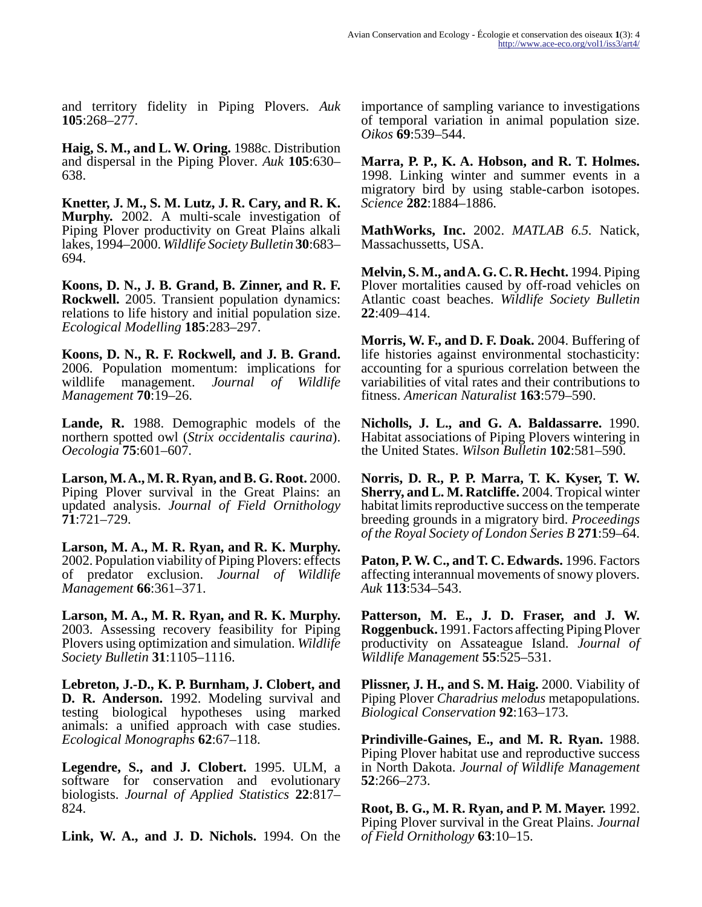and territory fidelity in Piping Plovers. *Auk* **105**:268–277.

**Haig, S. M., and L. W. Oring.** 1988c. Distribution and dispersal in the Piping Plover. *Auk* **105**:630– 638.

**Knetter, J. M., S. M. Lutz, J. R. Cary, and R. K. Murphy.** 2002. A multi-scale investigation of Piping Plover productivity on Great Plains alkali lakes, 1994–2000. *Wildlife Society Bulletin* **30**:683– 694.

**Koons, D. N., J. B. Grand, B. Zinner, and R. F. Rockwell.** 2005. Transient population dynamics: relations to life history and initial population size. *Ecological Modelling* **185**:283–297.

**Koons, D. N., R. F. Rockwell, and J. B. Grand.** 2006. Population momentum: implications for wildlife management. *Journal of Wildlife Management* **70**:19–26.

**Lande, R.** 1988. Demographic models of the northern spotted owl (*Strix occidentalis caurina*). *Oecologia* **75**:601–607.

**Larson, M. A., M. R. Ryan, and B. G. Root.** 2000. Piping Plover survival in the Great Plains: an updated analysis. *Journal of Field Ornithology* **71**:721–729.

**Larson, M. A., M. R. Ryan, and R. K. Murphy.** 2002. Population viability of Piping Plovers: effects of predator exclusion. *Journal of Wildlife Management* **66**:361–371.

**Larson, M. A., M. R. Ryan, and R. K. Murphy.** 2003. Assessing recovery feasibility for Piping Plovers using optimization and simulation. *Wildlife Society Bulletin* **31**:1105–1116.

**Lebreton, J.-D., K. P. Burnham, J. Clobert, and D. R. Anderson.** 1992. Modeling survival and testing biological hypotheses using marked animals: a unified approach with case studies. *Ecological Monographs* **62**:67–118.

**Legendre, S., and J. Clobert.** 1995. ULM, a software for conservation and evolutionary biologists. *Journal of Applied Statistics* **22**:817– 824.

**Link, W. A., and J. D. Nichols.** 1994. On the

importance of sampling variance to investigations of temporal variation in animal population size. *Oikos* **69**:539–544.

**Marra, P. P., K. A. Hobson, and R. T. Holmes.** 1998. Linking winter and summer events in a migratory bird by using stable-carbon isotopes. *Science* **282**:1884–1886.

**MathWorks, Inc.** 2002. *MATLAB 6.5.* Natick, Massachussetts, USA.

**Melvin, S. M., and A. G. C. R. Hecht.** 1994. Piping Plover mortalities caused by off-road vehicles on Atlantic coast beaches. *Wildlife Society Bulletin* **22**:409–414.

**Morris, W. F., and D. F. Doak.** 2004. Buffering of life histories against environmental stochasticity: accounting for a spurious correlation between the variabilities of vital rates and their contributions to fitness. *American Naturalist* **163**:579–590.

**Nicholls, J. L., and G. A. Baldassarre.** 1990. Habitat associations of Piping Plovers wintering in the United States. *Wilson Bulletin* **102**:581–590.

**Norris, D. R., P. P. Marra, T. K. Kyser, T. W. Sherry, and L. M. Ratcliffe.** 2004. Tropical winter habitat limits reproductive success on the temperate breeding grounds in a migratory bird. *Proceedings of the Royal Society of London Series B* **271**:59–64.

**Paton, P. W. C., and T. C. Edwards.** 1996. Factors affecting interannual movements of snowy plovers. *Auk* **113**:534–543.

**Patterson, M. E., J. D. Fraser, and J. W. Roggenbuck.** 1991. Factors affecting Piping Plover productivity on Assateague Island. *Journal of Wildlife Management* **55**:525–531.

**Plissner, J. H., and S. M. Haig.** 2000. Viability of Piping Plover *Charadrius melodus* metapopulations. *Biological Conservation* **92**:163–173.

**Prindiville-Gaines, E., and M. R. Ryan.** 1988. Piping Plover habitat use and reproductive success in North Dakota. *Journal of Wildlife Management* **52**:266–273.

**Root, B. G., M. R. Ryan, and P. M. Mayer.** 1992. Piping Plover survival in the Great Plains. *Journal of Field Ornithology* **63**:10–15.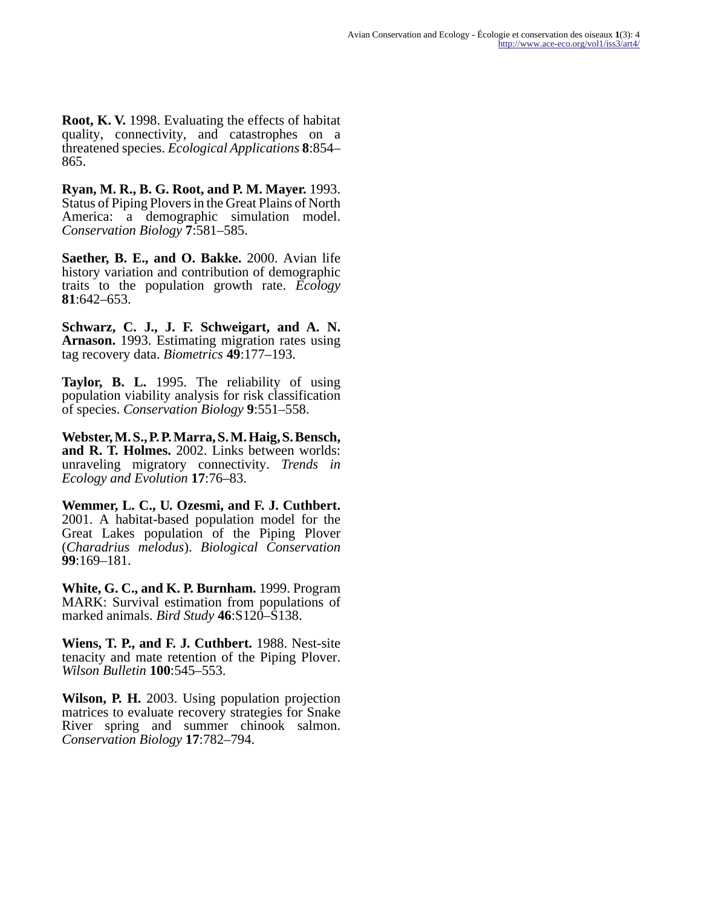**Root, K. V.** 1998. Evaluating the effects of habitat quality, connectivity, and catastrophes on a threatened species. *Ecological Applications* **8**:854– 865.

**Ryan, M. R., B. G. Root, and P. M. Mayer.** 1993. Status of Piping Plovers in the Great Plains of North America: a demographic simulation model. *Conservation Biology* **7**:581–585.

**Saether, B. E., and O. Bakke.** 2000. Avian life history variation and contribution of demographic traits to the population growth rate. *Ecology* **81**:642–653.

**Schwarz, C. J., J. F. Schweigart, and A. N. Arnason.** 1993. Estimating migration rates using tag recovery data. *Biometrics* **49**:177–193.

**Taylor, B. L.** 1995. The reliability of using population viability analysis for risk classification of species. *Conservation Biology* **9**:551–558.

**Webster, M. S., P. P. Marra, S. M. Haig, S. Bensch, and R. T. Holmes.** 2002. Links between worlds: unraveling migratory connectivity. *Trends in Ecology and Evolution* **17**:76–83.

**Wemmer, L. C., U. Ozesmi, and F. J. Cuthbert.** 2001. A habitat-based population model for the Great Lakes population of the Piping Plover (*Charadrius melodus*). *Biological Conservation* **99**:169–181.

**White, G. C., and K. P. Burnham.** 1999. Program MARK: Survival estimation from populations of marked animals. *Bird Study* **46**:S120–S138.

**Wiens, T. P., and F. J. Cuthbert.** 1988. Nest-site tenacity and mate retention of the Piping Plover. *Wilson Bulletin* **100**:545–553.

**Wilson, P. H.** 2003. Using population projection matrices to evaluate recovery strategies for Snake River spring and summer chinook salmon. *Conservation Biology* **17**:782–794.